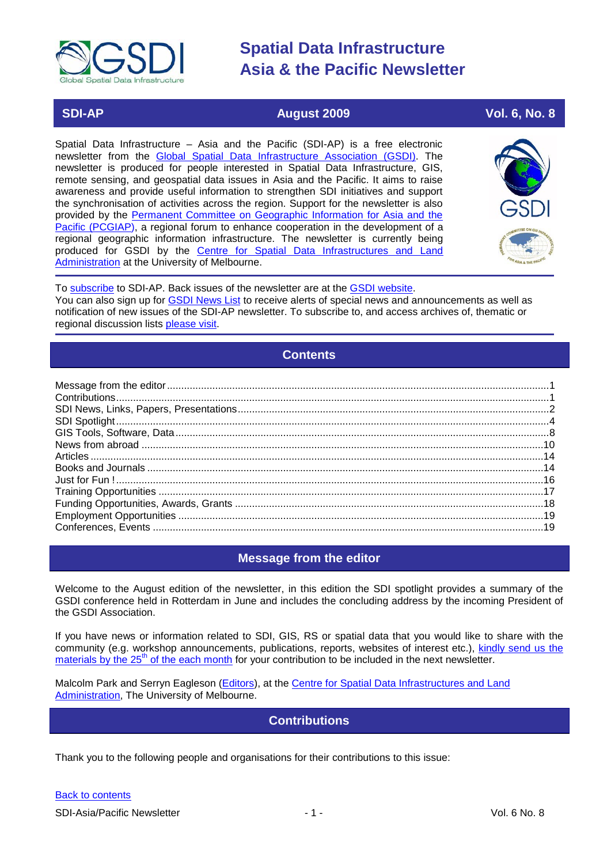

### **SDI-AP August 2009 Vol. 6, No. 8**

Spatial Data Infrastructure – Asia and the Pacific (SDI-AP) is a free electronic newsletter from the [Global Spatial Data Infrastructure Association \(GSDI\).](http://www.gsdi.org/) The newsletter is produced for people interested in Spatial Data Infrastructure, GIS, remote sensing, and geospatial data issues in Asia and the Pacific. It aims to raise awareness and provide useful information to strengthen SDI initiatives and support the synchronisation of activities across the region. Support for the newsletter is also provided by the [Permanent Committee on Geographic Information for Asia and the](http://www.pcgiap.org/)  [Pacific \(PCGIAP\)](http://www.pcgiap.org/), a regional forum to enhance cooperation in the development of a regional geographic information infrastructure. The newsletter is currently being produced for GSDI by the [Centre for Spatial Data Infrastructures and Land](http://www.csdila.unimelb.edu.au/)  [Administration](http://www.csdila.unimelb.edu.au/) at the University of Melbourne.



To [subscribe](http://www.gsdi.org/newslist/gsdisubscribe.asp) to SDI-AP. Back issues of the newsletter are at the [GSDI website.](http://www.gsdi.org/newsletters.asp) You can also sign up for **GSDI News List** to receive alerts of special news and announcements as well as notification of new issues of the SDI-AP newsletter. To subscribe to, and access archives of, thematic or regional discussion lists [please visit.](http://www.gsdi.org/discussionlists.asp)

### **Contents**

<span id="page-0-0"></span>

### **Message from the editor**

<span id="page-0-1"></span>Welcome to the August edition of the newsletter, in this edition the SDI spotlight provides a summary of the GSDI conference held in Rotterdam in June and includes the concluding address by the incoming President of the GSDI Association.

If you have news or information related to SDI, GIS, RS or spatial data that you would like to share with the community (e.g. workshop announcements, publications, reports, websites of interest etc.), [kindly send us](mailto:sdi-ap@gsdi.org) the materials by the  $25<sup>th</sup>$  [of the each month](mailto:sdi-ap@gsdi.org) for your contribution to be included in the next newsletter.

<span id="page-0-2"></span>Malcolm Park and Serryn Eagleson [\(Editors\)](mailto:Editor.SDIAP@gmail.com), at the [Centre for Spatial Data Infrastructures and Land](http://www.csdila.unimelb.edu.au/)  [Administration,](http://www.csdila.unimelb.edu.au/) The University of Melbourne.

### **Contributions**

Thank you to the following people and organisations for their contributions to this issue: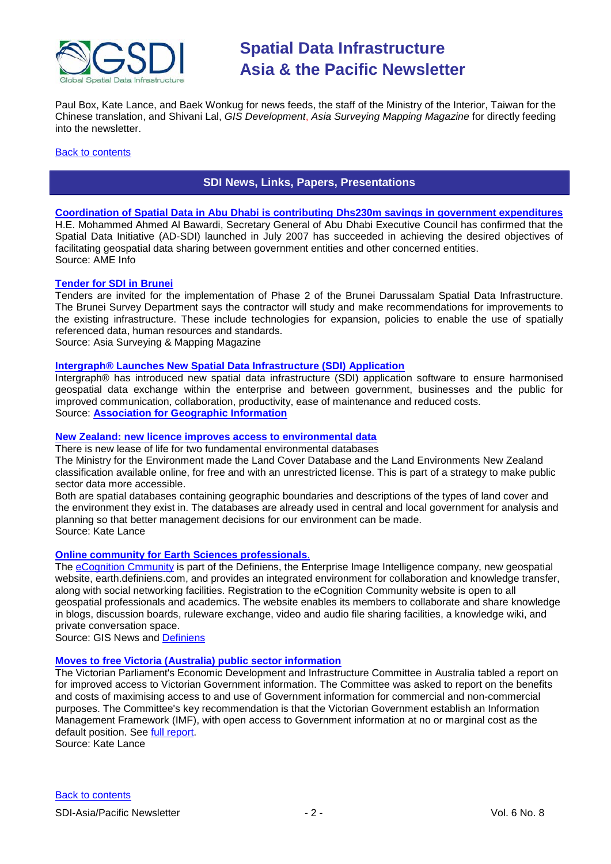

Paul Box, Kate Lance, and Baek Wonkug for news feeds, the staff of the Ministry of the Interior, Taiwan for the Chinese translation, and Shivani Lal, *GIS Development*, *Asia Surveying Mapping Magazine* for directly feeding into the newsletter.

#### <span id="page-1-0"></span>**[Back to contents](#page-0-0)**

### **SDI News, Links, Papers, Presentations**

#### **[Coordination of Spatial Data in Abu Dhabi is contributing Dhs230m savings in government expenditures](http://www.ameinfo.com/204509.html)**

H.E. Mohammed Ahmed Al Bawardi, Secretary General of Abu Dhabi Executive Council has confirmed that the Spatial Data Initiative (AD-SDI) launched in July 2007 has succeeded in achieving the desired objectives of facilitating geospatial data sharing between government entities and other concerned entities. Source: AME Info

#### **[Tender for SDI in Brunei](http://www.asmmag.com/news/tender-for-sdi-in-brunei)**

Tenders are invited for the implementation of Phase 2 of the Brunei Darussalam Spatial Data Infrastructure. The Brunei Survey Department says the contractor will study and make recommendations for improvements to the existing infrastructure. These include technologies for expansion, policies to enable the use of spatially referenced data, human resources and standards.

Source: Asia Surveying & Mapping Magazine

#### **[Intergraph® Launches New Spatial Data Infrastructure \(SDI\) Application](http://www.agi.org.uk/pooled/articles/BF_NEWSART/view.asp?Q=BF_NEWSART_313389)**

Intergraph® has introduced new spatial data infrastructure (SDI) application software to ensure harmonised geospatial data exchange within the enterprise and between government, businesses and the public for improved communication, collaboration, productivity, ease of maintenance and reduced costs. Source: **[Association for Geographic Information](http://www.agi.org.uk/default.asp)**

#### **[New Zealand: new licence improves access to environmental data](http://www.geospatial.govt.nz/new-licence-improves-access-to-environmental-data/)**

There is new lease of life for two fundamental environmental databases

The Ministry for the Environment made the Land Cover Database and the Land Environments New Zealand classification available online, for free and with an unrestricted license. This is part of a strategy to make public sector data more accessible.

Both are spatial databases containing geographic boundaries and descriptions of the types of land cover and the environment they exist in. The databases are already used in central and local government for analysis and planning so that better management decisions for our environment can be made. Source: Kate Lance

#### **[Online community for Earth Sciences professionals](http://www.gisdevelopment.net/news/viewn.asp?id=GIS:N_tuqmpgldsv&Ezine=jul0609§ion=News)**.

The [eCognition Cmmunity](http://earth.definiens.com/document/definiens-launches-ecognition-community) is part of the Definiens, the Enterprise Image Intelligence company, new geospatial website, earth.definiens.com, and provides an integrated environment for collaboration and knowledge transfer, along with social networking facilities. Registration to the eCognition Community website is open to all geospatial professionals and academics. The website enables its members to collaborate and share knowledge in blogs, discussion boards, ruleware exchange, video and audio file sharing facilities, a knowledge wiki, and private conversation space.

Source: GIS News and [Definiens](http://earth.definiens.com/)

#### **[Moves to free Victoria \(Australia\) public sector information](http://www.parliament.vic.gov.au/edic/inquiries/access_to_PSI/PSI_Inquiry_Media_Release.pdf)**

The Victorian Parliament's Economic Development and Infrastructure Committee in Australia tabled a report on for improved access to Victorian Government information. The Committee was asked to report on the benefits and costs of maximising access to and use of Government information for commercial and non-commercial purposes. The Committee's key recommendation is that the Victorian Government establish an Information Management Framework (IMF), with open access to Government information at no or marginal cost as the default position. See [full report.](http://www.parliament.vic.gov.au/edic/inquiries/access_to_PSI/final_report.html)

Source: Kate Lance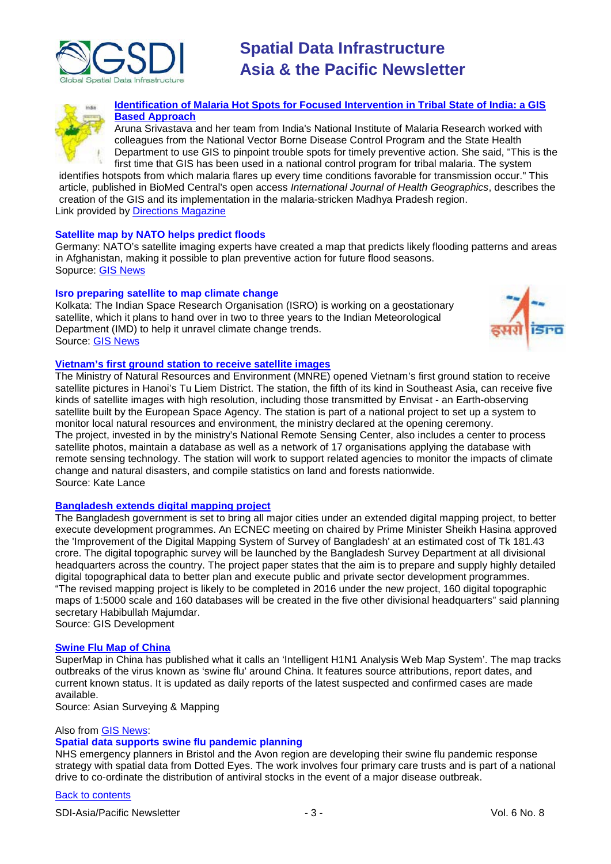



**[Identification of Malaria Hot Spots for Focused Intervention in Tribal State of India: a GIS](http://newsletter.directionsmag.com/link.php?M=145624&N=1777&L=26698)  [Based Approach](http://newsletter.directionsmag.com/link.php?M=145624&N=1777&L=26698)**

Aruna Srivastava and her team from India's National Institute of Malaria Research worked with colleagues from the National Vector Borne Disease Control Program and the State Health Department to use GIS to pinpoint trouble spots for timely preventive action. She said, "This is the first time that GIS has been used in a national control program for tribal malaria. The system

identifies hotspots from which malaria flares up every time conditions favorable for transmission occur." This article, published in BioMed Central's open access *International Journal of Health Geographics*, describes the creation of the GIS and its implementation in the malaria-stricken Madhya Pradesh region. Link provided by [Directions Magazine](http://www.directionsmag.com/article.php?article_id=3215)

#### **Satellite map by NATO helps predict floods**

Germany: NATO's satellite imaging experts have created a map that predicts likely flooding patterns and areas in Afghanistan, making it possible to plan preventive action for future flood seasons. Sopurce: [GIS News](http://www.gisdevelopment.net/news/viewn.asp?id=GIS:N_ylaqkdbopj&Ezine=jul1309§ion=News)

#### **Isro preparing satellite to map climate change**

Kolkata: The Indian Space Research Organisation (ISRO) is working on a geostationary satellite, which it plans to hand over in two to three years to the Indian Meteorological Department (IMD) to help it unravel climate change trends. Source: [GIS News](http://www.gisdevelopment.net/news/viewn.asp?id=GIS:N_soidgkqyht&Ezine=jul1309§ion=News)



#### **[Vietnam's first ground station to receive satellite images](http://www.thanhniennews.com/education/?catid=4&newsid=50649)**

The Ministry of Natural Resources and Environment (MNRE) opened Vietnam's first ground station to receive satellite pictures in Hanoi's Tu Liem District. The station, the fifth of its kind in Southeast Asia, can receive five kinds of satellite images with high resolution, including those transmitted by Envisat - an Earth-observing satellite built by the European Space Agency. The station is part of a national project to set up a system to monitor local natural resources and environment, the ministry declared at the opening ceremony. The project, invested in by the ministry's National Remote Sensing Center, also includes a center to process satellite photos, maintain a database as well as a network of 17 organisations applying the database with remote sensing technology. The station will work to support related agencies to monitor the impacts of climate change and natural disasters, and compile statistics on land and forests nationwide. Source: Kate Lance

#### **[Bangladesh extends digital mapping project](http://bdnews24.com/details.php?id=88780&cid=2\)**

The Bangladesh government is set to bring all major cities under an extended digital mapping project, to better execute development programmes. An ECNEC meeting on chaired by Prime Minister Sheikh Hasina approved the 'Improvement of the Digital Mapping System of Survey of Bangladesh' at an estimated cost of Tk 181.43 crore. The digital topographic survey will be launched by the Bangladesh Survey Department at all divisional headquarters across the country. The project paper states that the aim is to prepare and supply highly detailed digital topographical data to better plan and execute public and private sector development programmes. "The revised mapping project is likely to be completed in 2016 under the new project, 160 digital topographic maps of 1:5000 scale and 160 databases will be created in the five other divisional headquarters" said planning secretary Habibullah Majumdar. Source: GIS Development

#### **[Swine Flu Map of China](http://www.supermap.com/news/news_view.asp?news_id=125)**

SuperMap in China has published what it calls an 'Intelligent H1N1 Analysis Web Map System'. The map tracks outbreaks of the virus known as 'swine flu' around China. It features source attributions, report dates, and current known status. It is updated as daily reports of the latest suspected and confirmed cases are made available.

Source: Asian Surveying & Mapping

#### Also from [GIS News:](http://www.gisdevelopment.net/news/viewn.asp?id=GIS:N_cqspkuofgh&Ezine=jul2009§ion=News)

#### **Spatial data supports swine flu pandemic planning**

NHS emergency planners in Bristol and the Avon region are developing their swine flu pandemic response strategy with spatial data from Dotted Eyes. The work involves four primary care trusts and is part of a national drive to co-ordinate the distribution of antiviral stocks in the event of a major disease outbreak.

#### [Back to contents](#page-0-0)

SDI-Asia/Pacific Newsletter  $\sim$  3 - 3 - Vol. 6 No. 8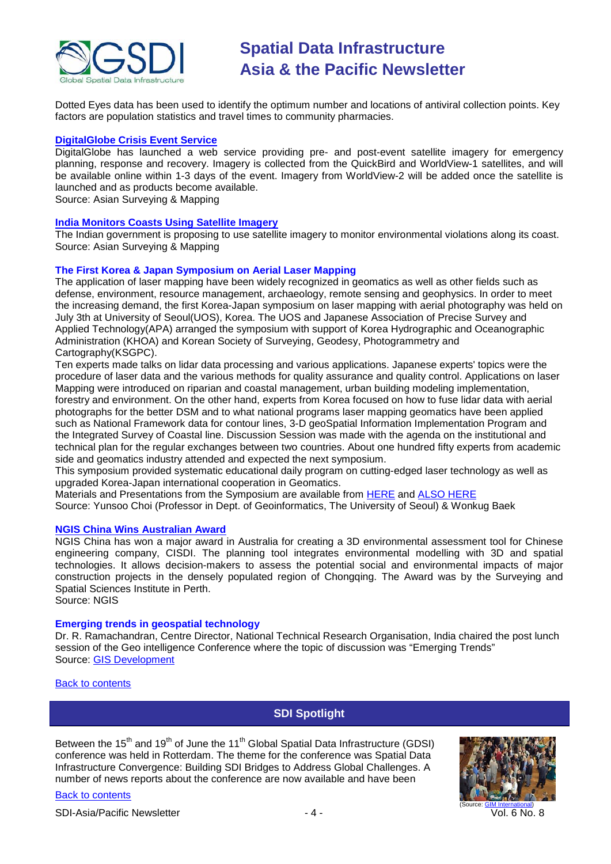

Dotted Eyes data has been used to identify the optimum number and locations of antiviral collection points. Key factors are population statistics and travel times to community pharmacies.

#### **[DigitalGlobe Crisis Event Service](http://media.digitalglobe.com/index.php?s=43&item=170%20for%20more%20information.)**

DigitalGlobe has launched a web service providing pre- and post-event satellite imagery for emergency planning, response and recovery. Imagery is collected from the QuickBird and WorldView-1 satellites, and will be available online within 1-3 days of the event. Imagery from WorldView-2 will be added once the satellite is launched and as products become available.

Source: Asian Surveying & Mapping

#### **[India Monitors Coasts Using Satellite Imagery](http://www.asmmag.com/news/india-monitors-coasts-using-satellite-imagery)**

The Indian government is proposing to use satellite imagery to monitor environmental violations along its coast. Source: Asian Surveying & Mapping

#### **The First Korea & Japan Symposium on Aerial Laser Mapping**

The application of laser mapping have been widely recognized in geomatics as well as other fields such as defense, environment, resource management, archaeology, remote sensing and geophysics. In order to meet the increasing demand, the first Korea-Japan symposium on laser mapping with aerial photography was held on July 3th at University of Seoul(UOS), Korea. The UOS and Japanese Association of Precise Survey and Applied Technology(APA) arranged the symposium with support of Korea Hydrographic and Oceanographic Administration (KHOA) and Korean Society of Surveying, Geodesy, Photogrammetry and Cartography(KSGPC).

Ten experts made talks on lidar data processing and various applications. Japanese experts' topics were the procedure of laser data and the various methods for quality assurance and quality control. Applications on laser Mapping were introduced on riparian and coastal management, urban building modeling implementation, forestry and environment. On the other hand, experts from Korea focused on how to fuse lidar data with aerial photographs for the better DSM and to what national programs laser mapping geomatics have been applied such as National Framework data for contour lines, 3-D geoSpatial Information Implementation Program and the Integrated Survey of Coastal line. Discussion Session was made with the agenda on the institutional and technical plan for the regular exchanges between two countries. About one hundred fifty experts from academic side and geomatics industry attended and expected the next symposium.

This symposium provided systematic educational daily program on cutting-edged laser technology as well as upgraded Korea-Japan international cooperation in Geomatics.

Materials and Presentations from the Symposium are available from [HERE](http://www.intelligentkorea.com/bbs/zboard.php?id=contact_psd&page=1&sn1=&divpage=1&sn=off&ss=on&sc=on&select_arrange=headnum&desc=asc&no=70) and [ALSO HERE](http://www.intelligentkorea.com/bbs/zboard.php?id=contact_psd&page=1&sn1=&divpage=1&sn=off&ss=on&sc=on&select_arrange=headnum&desc=asc&no=71)

Source: Yunsoo Choi (Professor in Dept. of Geoinformatics, The University of Seoul) & Wonkug Baek

#### **[NGIS China Wins Australian Award](http://www.ngis.com.au/Media+and+Publications/News/1572.aspx)**

NGIS China has won a major award in Australia for creating a 3D environmental assessment tool for Chinese engineering company, CISDI. The planning tool integrates environmental modelling with 3D and spatial technologies. It allows decision-makers to assess the potential social and environmental impacts of major construction projects in the densely populated region of Chongqing. The Award was by the Surveying and Spatial Sciences Institute in Perth.

Source: NGIS

#### **Emerging trends in geospatial technology**

Dr. R. Ramachandran, Centre Director, National Technical Research Organisation, India chaired the post lunch session of the Geo intelligence Conference where the topic of discussion was "Emerging Trends" Source: [GIS Development](http://www.gisdevelopment.net/news/viewn.asp?id=GIS:N_frdqcusnev)

<span id="page-3-0"></span>[Back to contents](#page-0-0)

[Back to contents](#page-0-0)

### **SDI Spotlight**

Between the  $15<sup>th</sup>$  and  $19<sup>th</sup>$  of June the  $11<sup>th</sup>$  Global Spatial Data Infrastructure (GDSI) conference was held in Rotterdam. The theme for the conference was Spatial Data Infrastructure Convergence: Building SDI Bridges to Address Global Challenges. A number of news reports about the conference are now available and have been



SDI-Asia/Pacific Newsletter  $\overline{V}$  - 4 -  $\overline{V}$  -  $\overline{V}$  Vol. 6 No. 8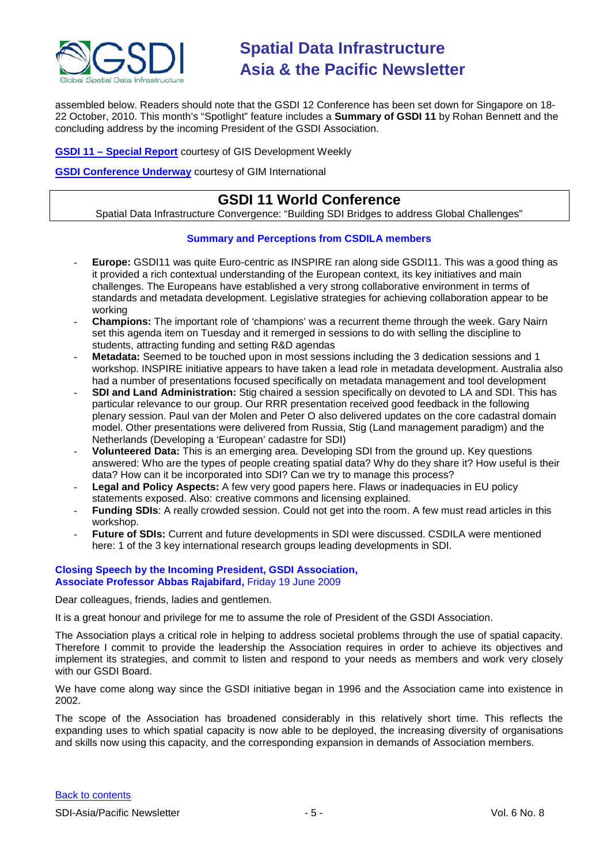

assembled below. Readers should note that the GSDI 12 Conference has been set down for Singapore on 18- 22 October, 2010. This month's "Spotlight" feature includes a **Summary of GSDI 11** by Rohan Bennett and the concluding address by the incoming President of the GSDI Association.

**GSDI 11 – [Special Report](http://www.gisdevelopment.net/events/reports/2009/gsdi.htm)** courtesy of GIS Development Weekly

**[GSDI Conference Underway](http://www.gim-international.com/news/id3859-GSDI_Conference_Underway.html)** courtesy of GIM International

## **GSDI 11 World Conference**

Spatial Data Infrastructure Convergence: "Building SDI Bridges to address Global Challenges"

#### **Summary and Perceptions from CSDILA members**

- **Europe:** GSDI11 was quite Euro-centric as INSPIRE ran along side GSDI11. This was a good thing as it provided a rich contextual understanding of the European context, its key initiatives and main challenges. The Europeans have established a very strong collaborative environment in terms of standards and metadata development. Legislative strategies for achieving collaboration appear to be working
- **Champions:** The important role of 'champions' was a recurrent theme through the week. Gary Nairn set this agenda item on Tuesday and it remerged in sessions to do with selling the discipline to students, attracting funding and setting R&D agendas
- **Metadata:** Seemed to be touched upon in most sessions including the 3 dedication sessions and 1 workshop. INSPIRE initiative appears to have taken a lead role in metadata development. Australia also had a number of presentations focused specifically on metadata management and tool development
- **SDI and Land Administration:** Stig chaired a session specifically on devoted to LA and SDI. This has particular relevance to our group. Our RRR presentation received good feedback in the following plenary session. Paul van der Molen and Peter O also delivered updates on the core cadastral domain model. Other presentations were delivered from Russia, Stig (Land management paradigm) and the Netherlands (Developing a 'European' cadastre for SDI)
- **Volunteered Data:** This is an emerging area. Developing SDI from the ground up. Key questions answered: Who are the types of people creating spatial data? Why do they share it? How useful is their data? How can it be incorporated into SDI? Can we try to manage this process?
- Legal and Policy Aspects: A few very good papers here. Flaws or inadequacies in EU policy statements exposed. Also: creative commons and licensing explained.
- **Funding SDIs:** A really crowded session. Could not get into the room. A few must read articles in this workshop.
- **Future of SDIs:** Current and future developments in SDI were discussed. CSDILA were mentioned here: 1 of the 3 key international research groups leading developments in SDI.

#### **Closing Speech by the Incoming President, GSDI Association, Associate Professor Abbas Rajabifard,** Friday 19 June 2009

Dear colleagues, friends, ladies and gentlemen.

It is a great honour and privilege for me to assume the role of President of the GSDI Association.

The Association plays a critical role in helping to address societal problems through the use of spatial capacity. Therefore I commit to provide the leadership the Association requires in order to achieve its objectives and implement its strategies, and commit to listen and respond to your needs as members and work very closely with our GSDI Board.

We have come along way since the GSDI initiative began in 1996 and the Association came into existence in 2002.

The scope of the Association has broadened considerably in this relatively short time. This reflects the expanding uses to which spatial capacity is now able to be deployed, the increasing diversity of organisations and skills now using this capacity, and the corresponding expansion in demands of Association members.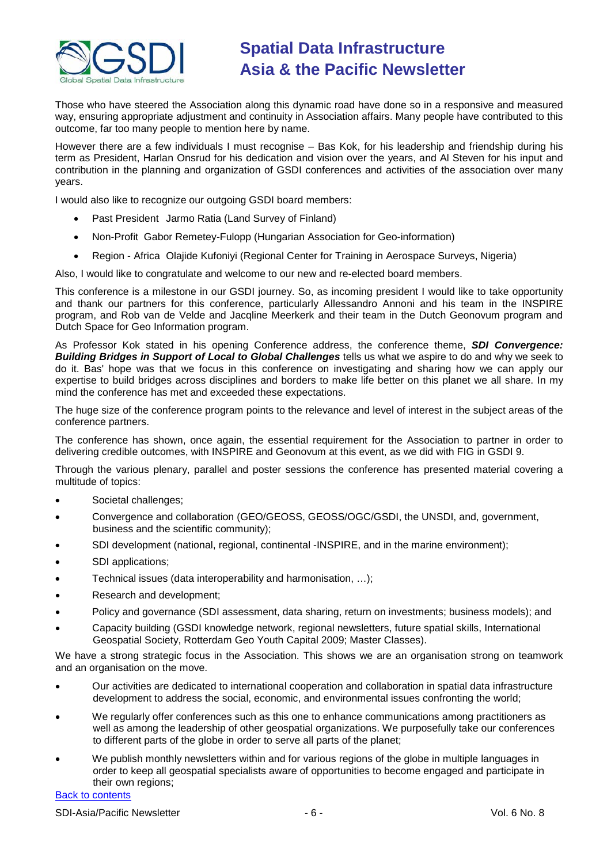

Those who have steered the Association along this dynamic road have done so in a responsive and measured way, ensuring appropriate adjustment and continuity in Association affairs. Many people have contributed to this outcome, far too many people to mention here by name.

However there are a few individuals I must recognise – Bas Kok, for his leadership and friendship during his term as President, Harlan Onsrud for his dedication and vision over the years, and Al Steven for his input and contribution in the planning and organization of GSDI conferences and activities of the association over many years.

I would also like to recognize our outgoing GSDI board members:

- Past President Jarmo Ratia (Land Survey of Finland)
- Non-Profit Gabor Remetey-Fulopp (Hungarian Association for Geo-information)
- Region Africa Olajide Kufoniyi (Regional Center for Training in Aerospace Surveys, Nigeria)

Also, I would like to congratulate and welcome to our new and re-elected board members.

This conference is a milestone in our GSDI journey. So, as incoming president I would like to take opportunity and thank our partners for this conference, particularly Allessandro Annoni and his team in the INSPIRE program, and Rob van de Velde and Jacqline Meerkerk and their team in the Dutch Geonovum program and Dutch Space for Geo Information program.

As Professor Kok stated in his opening Conference address, the conference theme, *SDI Convergence: Building Bridges in Support of Local to Global Challenges* tells us what we aspire to do and why we seek to do it. Bas' hope was that we focus in this conference on investigating and sharing how we can apply our expertise to build bridges across disciplines and borders to make life better on this planet we all share. In my mind the conference has met and exceeded these expectations.

The huge size of the conference program points to the relevance and level of interest in the subject areas of the conference partners.

The conference has shown, once again, the essential requirement for the Association to partner in order to delivering credible outcomes, with INSPIRE and Geonovum at this event, as we did with FIG in GSDI 9.

Through the various plenary, parallel and poster sessions the conference has presented material covering a multitude of topics:

- Societal challenges;
- Convergence and collaboration (GEO/GEOSS, GEOSS/OGC/GSDI, the UNSDI, and, government, business and the scientific community);
- SDI development (national, regional, continental -INSPIRE, and in the marine environment);
- SDI applications;
- Technical issues (data interoperability and harmonisation, …);
- Research and development;
- Policy and governance (SDI assessment, data sharing, return on investments; business models); and
- Capacity building (GSDI knowledge network, regional newsletters, future spatial skills, International Geospatial Society, Rotterdam Geo Youth Capital 2009; Master Classes).

We have a strong strategic focus in the Association. This shows we are an organisation strong on teamwork and an organisation on the move.

- Our activities are dedicated to international cooperation and collaboration in spatial data infrastructure development to address the social, economic, and environmental issues confronting the world;
- We regularly offer conferences such as this one to enhance communications among practitioners as well as among the leadership of other geospatial organizations. We purposefully take our conferences to different parts of the globe in order to serve all parts of the planet;
- We publish monthly newsletters within and for various regions of the globe in multiple languages in order to keep all geospatial specialists aware of opportunities to become engaged and participate in their own regions;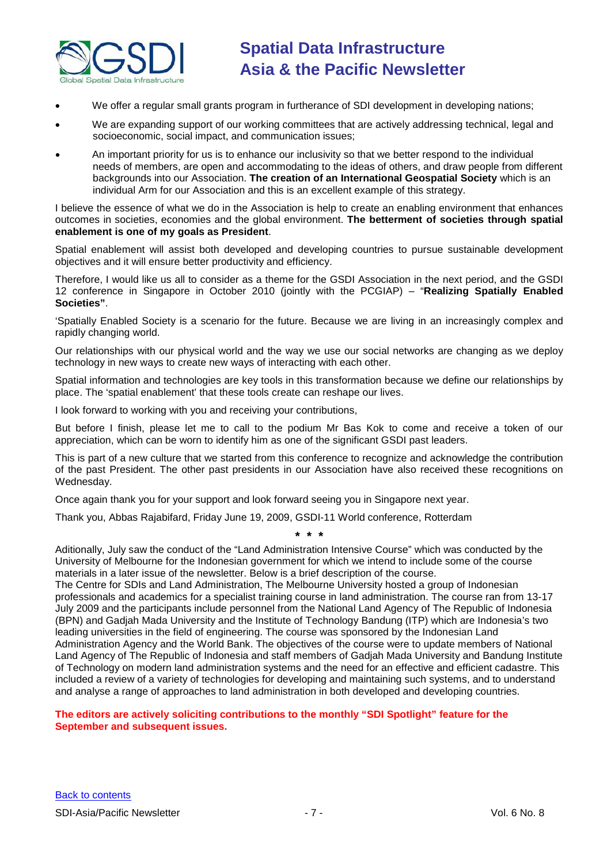

- We offer a regular small grants program in furtherance of SDI development in developing nations;
- We are expanding support of our working committees that are actively addressing technical, legal and socioeconomic, social impact, and communication issues;
- An important priority for us is to enhance our inclusivity so that we better respond to the individual needs of members, are open and accommodating to the ideas of others, and draw people from different backgrounds into our Association. **The creation of an International Geospatial Society** which is an individual Arm for our Association and this is an excellent example of this strategy.

I believe the essence of what we do in the Association is help to create an enabling environment that enhances outcomes in societies, economies and the global environment. **The betterment of societies through spatial enablement is one of my goals as President**.

Spatial enablement will assist both developed and developing countries to pursue sustainable development objectives and it will ensure better productivity and efficiency.

Therefore, I would like us all to consider as a theme for the GSDI Association in the next period, and the GSDI 12 conference in Singapore in October 2010 (jointly with the PCGIAP) – "**Realizing Spatially Enabled Societies"**.

'Spatially Enabled Society is a scenario for the future. Because we are living in an increasingly complex and rapidly changing world.

Our relationships with our physical world and the way we use our social networks are changing as we deploy technology in new ways to create new ways of interacting with each other.

Spatial information and technologies are key tools in this transformation because we define our relationships by place. The 'spatial enablement' that these tools create can reshape our lives.

I look forward to working with you and receiving your contributions,

But before I finish, please let me to call to the podium Mr Bas Kok to come and receive a token of our appreciation, which can be worn to identify him as one of the significant GSDI past leaders.

This is part of a new culture that we started from this conference to recognize and acknowledge the contribution of the past President. The other past presidents in our Association have also received these recognitions on Wednesday.

Once again thank you for your support and look forward seeing you in Singapore next year.

Thank you, Abbas Rajabifard, Friday June 19, 2009, GSDI-11 World conference, Rotterdam

**\* \* \***

Aditionally, July saw the conduct of the "Land Administration Intensive Course" which was conducted by the University of Melbourne for the Indonesian government for which we intend to include some of the course materials in a later issue of the newsletter. Below is a brief description of the course.

The Centre for SDIs and Land Administration, The Melbourne University hosted a group of Indonesian professionals and academics for a specialist training course in land administration. The course ran from 13-17 July 2009 and the participants include personnel from the National Land Agency of The Republic of Indonesia (BPN) and Gadjah Mada University and the Institute of Technology Bandung (ITP) which are Indonesia's two leading universities in the field of engineering. The course was sponsored by the Indonesian Land Administration Agency and the World Bank. The objectives of the course were to update members of National Land Agency of The Republic of Indonesia and staff members of Gadjah Mada University and Bandung Institute of Technology on modern land administration systems and the need for an effective and efficient cadastre. This included a review of a variety of technologies for developing and maintaining such systems, and to understand and analyse a range of approaches to land administration in both developed and developing countries.

#### **The editors are actively soliciting contributions to the monthly "SDI Spotlight" feature for the September and subsequent issues.**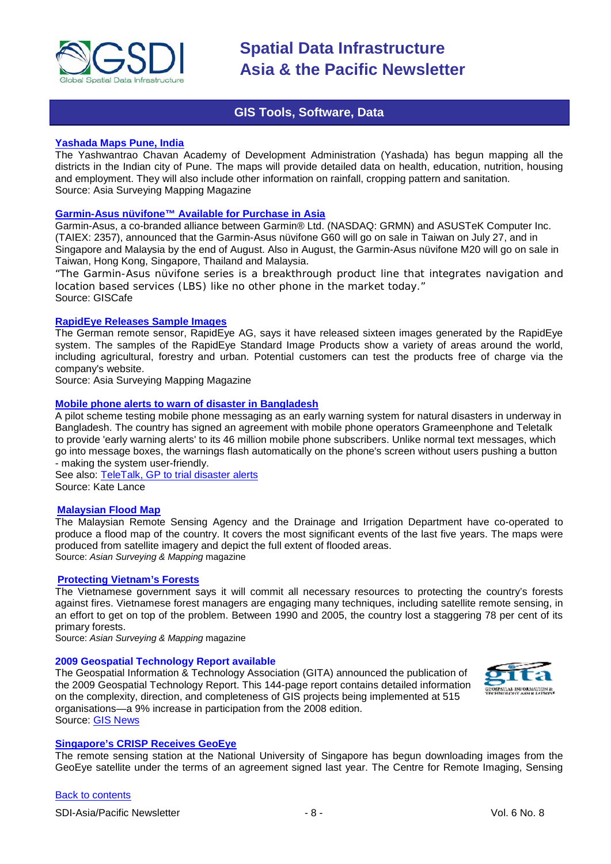

### **GIS Tools, Software, Data**

#### <span id="page-7-0"></span>**[Yashada Maps Pune, India](http://www.asmmag.com/news/yashada-maps-pune-india)**

The Yashwantrao Chavan Academy of Development Administration (Yashada) has begun mapping all the districts in the Indian city of Pune. The maps will provide detailed data on health, education, nutrition, housing and employment. They will also include other information on rainfall, cropping pattern and sanitation. Source: Asia Surveying Mapping Magazine

### **[Garmin-Asus nüvifone™ Available for Purchase in Asia](http://www10.giscafe.com/nbc/articles/view_article.php?articleid=722854)**

Garmin-Asus, a co-branded alliance between Garmin® Ltd. (NASDAQ: GRMN) and ASUSTeK Computer Inc. (TAIEX: 2357), announced that the Garmin-Asus nüvifone G60 will go on sale in Taiwan on July 27, and in Singapore and Malaysia by the end of August. Also in August, the Garmin-Asus nüvifone M20 will go on sale in Taiwan, Hong Kong, Singapore, Thailand and Malaysia.

*"The Garmin-Asus nüvifone series is a breakthrough product line that integrates navigation and location based services (LBS) like no other phone in the market today."* Source: GISCafe

#### **[RapidEye Releases Sample Images](http://www.asmmag.com/news/rapideye-releases-sample-images)**

The German remote sensor, RapidEye AG, says it have released sixteen images generated by the RapidEye system. The samples of the RapidEye Standard Image Products show a variety of areas around the world, including agricultural, forestry and urban. Potential customers can test the products free of charge via the company's website.

Source: Asia Surveying Mapping Magazine

#### **[Mobile phone alerts to warn of disaster in Bangladesh](http://scidev.net/en/news/mobile-phone-alerts-to-warn-of-disaster-in-banglad.html)**

A pilot scheme testing mobile phone messaging as an early warning system for natural disasters in underway in Bangladesh. The country has signed an agreement with mobile phone operators Grameenphone and Teletalk to provide 'early warning alerts' to its 46 million mobile phone subscribers. Unlike normal text messages, which go into message boxes, the warnings flash automatically on the phone's screen without users pushing a button - making the system user-friendly.

See also: [TeleTalk, GP to trial disaster alerts](http://www.bdnews24.com/details.php?cid=2&id=86214) Source: Kate Lance

#### **[Malaysian Flood Map](http://www.asmmag.com/news/malaysian-flood-map)**

The Malaysian Remote Sensing Agency and the Drainage and Irrigation Department have co-operated to produce a flood map of the country. It covers the most significant events of the last five years. The maps were produced from satellite imagery and depict the full extent of flooded areas. Source: *Asian Surveying & Mapping* magazine

#### **[Protecting Vietnam's Forests](http://www.asmmag.com/news/protecting-vietnam-s-forests)**

The Vietnamese government says it will commit all necessary resources to protecting the country's forests against fires. Vietnamese forest managers are engaging many techniques, including satellite remote sensing, in an effort to get on top of the problem. Between 1990 and 2005, the country lost a staggering 78 per cent of its primary forests.

Source: *Asian Surveying & Mapping* magazine

#### **2009 Geospatial Technology Report available**

The Geospatial Information & Technology Association (GITA) announced the publication of the 2009 Geospatial Technology Report. This 144-page report contains detailed information on the complexity, direction, and completeness of GIS projects being implemented at 515 organisations—a 9% increase in participation from the 2008 edition. Source: [GIS News](http://www.gisdevelopment.net/news/viewn.asp?id=GIS:N_qsemrybdxf&Ezine=jun2909§ion=News)



#### **[Singapore's CRISP Receives GeoEye](http://www.asmmag.com/news/singapore-s-crisp-receives-geoeye)**

The remote sensing station at the National University of Singapore has begun downloading images from the GeoEye satellite under the terms of an agreement signed last year. The Centre for Remote Imaging, Sensing

[Back to contents](#page-0-0)

SDI-Asia/Pacific Newsletter  $\overline{\phantom{a}}$  - 8 -  $\overline{\phantom{a}}$  -  $\overline{\phantom{a}}$  -  $\overline{\phantom{a}}$  Vol. 6 No. 8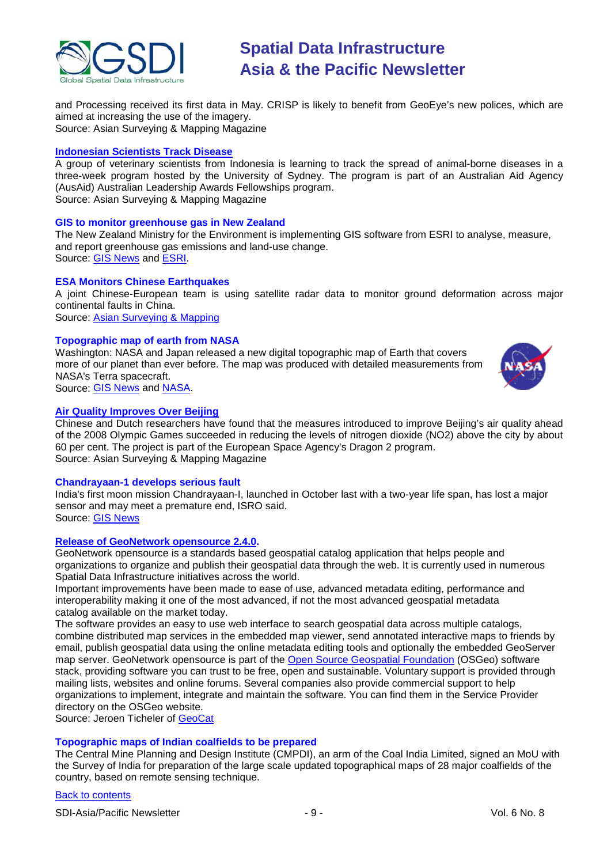

and Processing received its first data in May. CRISP is likely to benefit from GeoEye's new polices, which are aimed at increasing the use of the imagery. Source: Asian Surveying & Mapping Magazine

#### **[Indonesian Scientists Track Disease](http://www.asmmag.com/news/indonesian-scientists-track-disease)**

A group of veterinary scientists from Indonesia is learning to track the spread of animal-borne diseases in a three-week program hosted by the University of Sydney. The program is part of an Australian Aid Agency (AusAid) Australian Leadership Awards Fellowships program. Source: Asian Surveying & Mapping Magazine

#### **GIS to monitor greenhouse gas in New Zealand**

The New Zealand Ministry for the Environment is implementing GIS software from ESRI to analyse, measure, and report greenhouse gas emissions and land-use change. Source: [GIS News](http://www.gisdevelopment.net/news/viewn.asp?id=GIS:N_jpdxuwzogs) and [ESRI.](http://www.esri.com/news/releases/09_3qtr/new_zealand_greenhouse.html)

#### **ESA Monitors Chinese Earthquakes**

A joint Chinese-European team is using satellite radar data to monitor ground deformation across major continental faults in China.

Source: [Asian Surveying & Mapping](http://www.asmmag.com/news/esa-monitors-chinese-earthquakes)

#### **Topographic map of earth from NASA**

Washington: NASA and Japan released a new digital topographic map of Earth that covers more of our planet than ever before. The map was produced with detailed measurements from NASA's Terra spacecraft. Source: [GIS News](http://www.gisdevelopment.net/news/viewn.asp?id=GIS:N_pckhborjnd) and [NASA.](http://www.nasa.gov/home/hqnews/2009/jun/HQ_09-150_ASTER_Topographic_Map.html)



#### **[Air Quality Improves Over Beijing](http://www.asmmag.com/news/air-quality-improves-over-beijing)**

Chinese and Dutch researchers have found that the measures introduced to improve Beijing's air quality ahead of the 2008 Olympic Games succeeded in reducing the levels of nitrogen dioxide (NO2) above the city by about 60 per cent. The project is part of the European Space Agency's Dragon 2 program. Source: Asian Surveying & Mapping Magazine

#### **Chandrayaan-1 develops serious fault**

India's first moon mission Chandrayaan-I, launched in October last with a two-year life span, has lost a major sensor and may meet a premature end, ISRO said. Source: [GIS News](http://www.gisdevelopment.net/news/viewn.asp?id=GIS:N_uwzabidocv)

#### **[Release of GeoNetwork opensource 2.4.0.](http://www.geonetwork-opensource.org/)**

[GeoNetwork opensource](http://geonetwork-opensource.org/) is a standards based geospatial catalog application that helps people and organizations to organize and publish their geospatial data through the web. It is currently used in numerous Spatial Data Infrastructure initiatives across the world.

Important improvements have been made to ease of use, advanced metadata editing, performance and interoperability making it one of the most advanced, if not the most advanced geospatial metadata catalog available on the market today.

The software provides an easy to use web interface to search geospatial data across multiple catalogs, combine distributed map services in the embedded map viewer, send annotated interactive maps to friends by email, publish geospatial data using the online metadata editing tools and optionally the embedded GeoServer map server. GeoNetwork opensource is part of the [Open Source Geospatial Foundation](http://www.osgeo.org/) (OSGeo) software stack, providing software you can trust to be free, open and sustainable. Voluntary support is provided through mailing lists, websites and online forums. Several companies also provide commercial support to help organizations to implement, integrate and maintain the software. You can find them in the Service Provider directory on the OSGeo website.

Source: Jeroen Ticheler of [GeoCat](http://geocat.net/)

#### **Topographic maps of Indian coalfields to be prepared**

The Central Mine Planning and Design Institute (CMPDI), an arm of the Coal India Limited, signed an MoU with the Survey of India for preparation of the large scale updated topographical maps of 28 major coalfields of the country, based on remote sensing technique.

#### [Back to contents](#page-0-0)

SDI-Asia/Pacific Newsletter  $\begin{array}{ccc} -9 \\ - & - \end{array}$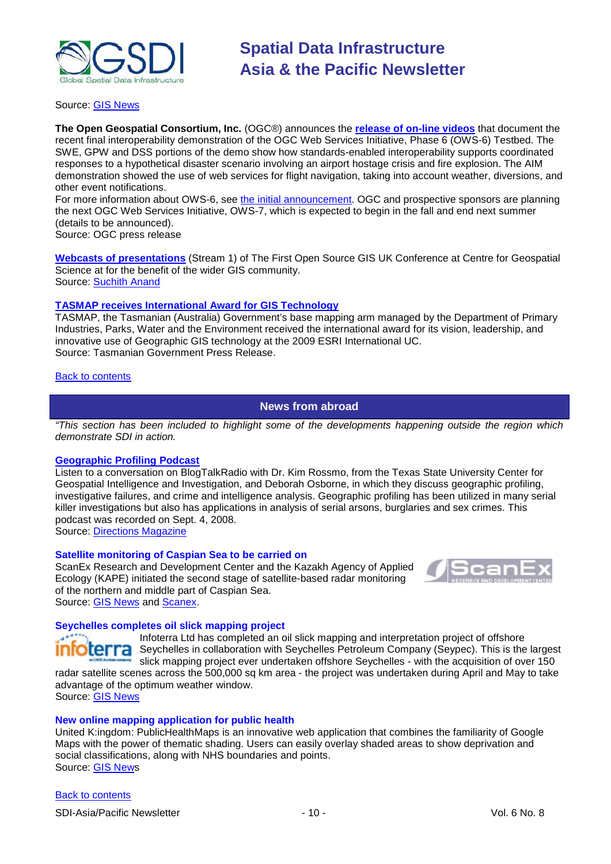

#### Source: [GIS News](http://www.gisdevelopment.net/news/viewn.asp?id=GIS:N_jtnriglzcw&Ezine=jul2009§ion=News)

**The Open Geospatial Consortium, Inc.** (OGC®) announces the **[release of on-line videos](http://www.opengeospatial.org/pub/www/ows6/index.html)** that document the recent final interoperability demonstration of the OGC Web Services Initiative, Phase 6 (OWS-6) Testbed. The SWE, GPW and DSS portions of the demo show how standards-enabled interoperability supports coordinated responses to a hypothetical disaster scenario involving an airport hostage crisis and fire explosion. The AIM demonstration showed the use of web services for flight navigation, taking into account weather, diversions, and other event notifications.

For more information about OWS-6, see [the initial announcement.](http://www.opengeospatial.org/standards/requests/50) OGC and prospective sponsors are planning the next OGC Web Services Initiative, OWS-7, which is expected to begin in the fall and end next summer (details to be announced).

Source: OGC press release

**[Webcasts of presentations](http://www.opensourcegis.org.uk/)** (Stream 1) of The First Open Source GIS UK Conference at Centre for Geospatial Science at for the benefit of the wider GIS community. Source: [Suchith Anand](mailto:Suchith.Anand@nottingham.ac.uk) 

#### **[TASMAP receives International Award for GIS Technology](http://www.media.tas.gov.au/release.php?id=27403)**

TASMAP, the Tasmanian (Australia) Government's base mapping arm managed by the Department of Primary Industries, Parks, Water and the Environment received the international award for its vision, leadership, and innovative use of Geographic GIS technology at the 2009 ESRI International UC. Source: Tasmanian Government Press Release.

#### <span id="page-9-0"></span>[Back to contents](#page-0-0)

#### **News from abroad**

*"This section has been included to highlight some of the developments happening outside the region which demonstrate SDI in action.*

#### **[Geographic Profiling](http://www.blogtalkradio.com/Deborah-Osborne/2008/09/04/Dr-Kim-Rossmo-Geographic-Profiling) Podcast**

Listen to a conversation on BlogTalkRadio with Dr. Kim Rossmo, from the Texas State University Center for Geospatial Intelligence and Investigation, and Deborah Osborne, in which they discuss geographic profiling, investigative failures, and crime and intelligence analysis. Geographic profiling has been utilized in many serial killer investigations but also has applications in analysis of serial arsons, burglaries and sex crimes. This podcast was recorded on Sept. 4, 2008.

Source: [Directions Magazine](http://www.directionsmedia.net/newsletters.archive/index.php?ID=1434)

#### **Satellite monitoring of Caspian Sea to be carried on**

ScanEx Research and Development Center and the Kazakh Agency of Applied Ecology (KAPE) initiated the second stage of satellite-based radar monitoring of the northern and middle part of Caspian Sea. Source: [GIS News](http://www.gisdevelopment.net/news/viewn.asp?id=GIS:N_brqunfxicg) and [Scanex.](http://www.scanex.ru/en/news/News_Preview.asp?id=n240242222)



#### **Seychelles completes oil slick mapping project**

Infoterra Ltd has completed an oil slick mapping and interpretation project of offshore **erra** Seychelles in collaboration with Seychelles Petroleum Company (Seypec). This is the largest slick mapping project ever undertaken offshore Seychelles - with the acquisition of over 150 radar satellite scenes across the 500,000 sq km area - the project was undertaken during April and May to take

advantage of the optimum weather window. Source: [GIS News](http://www.gisdevelopment.net/news/viewn.asp?id=GIS:N_bdsfwilont&Ezine=jun0109§ion=News)

#### **New online mapping application for public health**

United K:ingdom: PublicHealthMaps is an innovative web application that combines the familiarity of Google Maps with the power of thematic shading. Users can easily overlay shaded areas to show deprivation and social classifications, along with NHS boundaries and points. Source: GIS News

#### [Back to contents](#page-0-0)

SDI-Asia/Pacific Newsletter  $\sim$  10 - 10 - Vol. 6 No. 8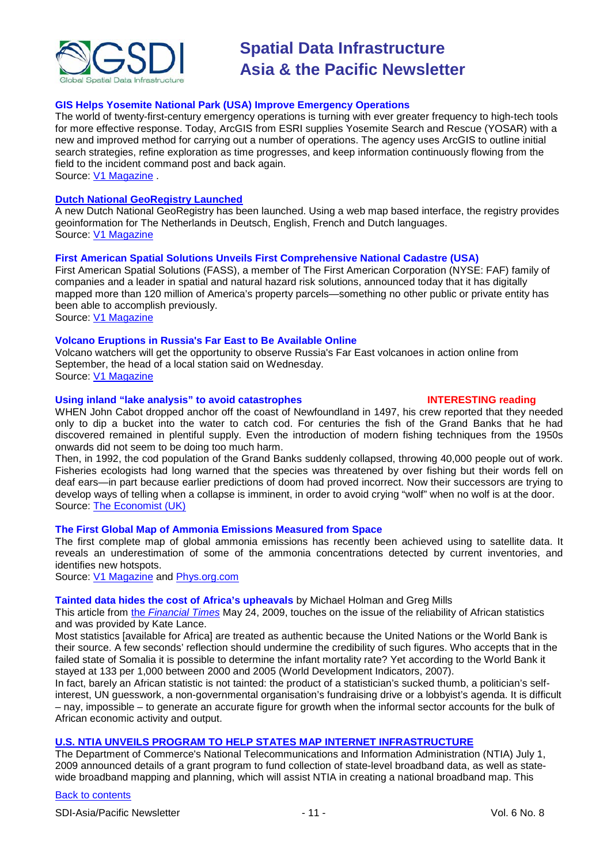

#### **GIS Helps Yosemite National Park (USA) Improve Emergency Operations**

The world of twenty-first-century emergency operations is turning with ever greater frequency to high-tech tools for more effective response. Today, ArcGIS from ESRI supplies Yosemite Search and Rescue (YOSAR) with a new and improved method for carrying out a number of operations. The agency uses ArcGIS to outline initial search strategies, refine exploration as time progresses, and keep information continuously flowing from the field to the incident command post and back again.

Source: [V1 Magazine](http://www.vector1media.com/top-stories/corporate-news/gis-helps-yosemite-national-park-improve-emergency-operations/) .

#### **[Dutch National GeoRegistry Launched](http://www.nationaalgeoregister.nl/geonetwork/srv/en/main.home)**

A new Dutch National GeoRegistry has been launched. Using a web map based interface, the registry provides geoinformation for The Netherlands in Deutsch, English, French and Dutch languages. Source: [V1 Magazine](http://www.vector1media.com/top-stories/corporate-news/dutch-national-georegistry-launched/)

#### **First American Spatial Solutions Unveils First Comprehensive National Cadastre (USA)**

First American Spatial Solutions (FASS), a member of The First American Corporation (NYSE: FAF) family of companies and a leader in spatial and natural hazard risk solutions, announced today that it has digitally mapped more than 120 million of America's property parcels—something no other public or private entity has been able to accomplish previously.

Source: [V1 Magazine](http://www.vector1media.com/top-stories/corporate-news/first-american-spatial-solutions-unveils-first-comprehensive-national-cadastre/)

#### **Volcano Eruptions in Russia's Far East to Be Available Online**

Volcano watchers will get the opportunity to observe Russia's Far East volcanoes in action online from September, the head of a local station said on Wednesday. Source: [V1 Magazine](http://www.vector1media.com/headlines/headlines/volcano-eruptions-in-russia%27s-far-east-to-be-available-online/)

#### **Using inland "lake analysis" to avoid catastrophes INTERESTING reading**

WHEN John Cabot dropped anchor off the coast of Newfoundland in 1497, his crew reported that they needed only to dip a bucket into the water to catch cod. For centuries the fish of the Grand Banks that he had discovered remained in plentiful supply. Even the introduction of modern fishing techniques from the 1950s onwards did not seem to be doing too much harm.

Then, in 1992, the cod population of the Grand Banks suddenly collapsed, throwing 40,000 people out of work. Fisheries ecologists had long warned that the species was threatened by over fishing but their words fell on deaf ears—in part because earlier predictions of doom had proved incorrect. Now their successors are trying to develop ways of telling when a collapse is imminent, in order to avoid crying "wolf" when no wolf is at the door. Source: [The Economist \(UK\)](http://www.economist.com/world/international/displayStory.cfm?story_id=13891210)

#### **The First Global Map of Ammonia Emissions Measured from Space**

The first complete map of global ammonia emissions has recently been achieved using to satellite data. It reveals an underestimation of some of the ammonia concentrations detected by current inventories, and identifies new hotspots.

Source: [V1 Magazine](http://www.vector1media.com/headlines/headlines/the-first-global-map-of-ammonia-emissions-measured-from-space/) and [Phys.org.com](http://www.physorg.com/news165073393.html)

#### **Tainted data hides the cost of Africa's upheavals** by Michael Holman and Greg Mills

This article from the *[Financial Times](http://www.ft.com/cms/s/0/385b003e-48a6-11de-8870-00144feabdc0.html)* May 24, 2009, touches on the issue of the reliability of African statistics and was provided by Kate Lance.

Most statistics [available for Africa] are treated as authentic because the United Nations or the World Bank is their source. A few seconds' reflection should undermine the credibility of such figures. Who accepts that in the failed state of Somalia it is possible to determine the infant mortality rate? Yet according to the World Bank it stayed at 133 per 1,000 between 2000 and 2005 (World Development Indicators, 2007).

In fact, barely an African statistic is not tainted: the product of a statistician's sucked thumb, a politician's selfinterest, UN guesswork, a non-governmental organisation's fundraising drive or a lobbyist's agenda. It is difficult – nay, impossible – to generate an accurate figure for growth when the informal sector accounts for the bulk of African economic activity and output.

### **[U.S. NTIA UNVEILS PROGRAM TO HELP STATES MAP INTERNET INFRASTRUCTURE](http://www.ntia.doc.gov/press/2009/BTOP_mapping_090701.html)**

The Department of Commerce's National Telecommunications and Information Administration (NTIA) July 1, 2009 announced details of a grant program to fund collection of state-level broadband data, as well as statewide broadband mapping and planning, which will assist NTIA in creating a national broadband map. This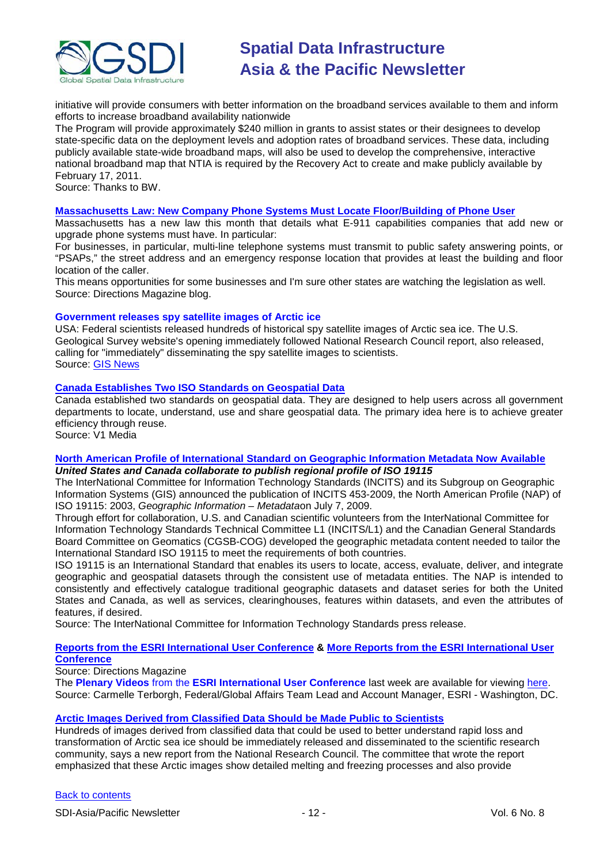

initiative will provide consumers with better information on the broadband services available to them and inform efforts to increase broadband availability nationwide

The Program will provide approximately \$240 million in grants to assist states or their designees to develop state-specific data on the deployment levels and adoption rates of broadband services. These data, including publicly available state-wide broadband maps, will also be used to develop the comprehensive, interactive national broadband map that NTIA is required by the Recovery Act to create and make publicly available by February 17, 2011.

Source: Thanks to BW.

#### **Massachusetts [Law: New Company Phone Systems Must Locate Floor/Building of Phone User](http://apb.directionsmag.com/archives/6070-Mass-Law-New-Company-Phone-Systems-Must-Locate-FloorBldg-of-Phone-User.html)**

Massachusetts has a new law this month that details what E-911 capabilities companies that add new or upgrade phone systems must have. In particular:

For businesses, in particular, multi-line telephone systems must transmit to public safety answering points, or "PSAPs," the street address and an emergency response location that provides at least the building and floor location of the caller.

This means opportunities for some businesses and I'm sure other states are watching the legislation as well. Source: Directions Magazine blog.

#### **Government releases spy satellite images of Arctic ice**

USA: Federal scientists released hundreds of historical spy satellite images of Arctic sea ice. The U.S. Geological Survey website's opening immediately followed National Research Council report, also released, calling for "immediately" disseminating the spy satellite images to scientists. Source: [GIS News](http://www.gisdevelopment.net/news/viewn.asp?id=GIS:N_cifusnxapr)

#### **[Canada Establishes Two ISO Standards on Geospatial Data](http://vector1media.com/vectorone/?p=3142)**

Canada established two standards on geospatial data. They are designed to help users across all government departments to locate, understand, use and share geospatial data. The primary idea here is to achieve greater efficiency through reuse.

Source: V1 Media

#### **[North American Profile of International Standard on Geographic Information Metadata Now Available](http://www.incits.org/press/2009/North_American_Profile.pdf)** *United States and Canada collaborate to publish regional profile of ISO 19115*

The InterNational Committee for Information Technology Standards (INCITS) and its Subgroup on Geographic Information Systems (GIS) announced the publication of INCITS 453-2009, the North American Profile (NAP) of ISO 19115: 2003, *Geographic Information – Metadata*on July 7, 2009.

Through effort for collaboration, U.S. and Canadian scientific volunteers from the InterNational Committee for Information Technology Standards Technical Committee L1 (INCITS/L1) and the Canadian General Standards Board Committee on Geomatics (CGSB-COG) developed the geographic metadata content needed to tailor the International Standard ISO 19115 to meet the requirements of both countries.

ISO 19115 is an International Standard that enables its users to locate, access, evaluate, deliver, and integrate geographic and geospatial datasets through the consistent use of metadata entities. The NAP is intended to consistently and effectively catalogue traditional geographic datasets and dataset series for both the United States and Canada, as well as services, clearinghouses, features within datasets, and even the attributes of features, if desired.

Source: The InterNational Committee for Information Technology Standards press release.

#### **[Reports from the ESRI International User Conference](http://www.directionsmedia.net/newsletters.archive/index.php?ID=1439) & [More Reports from the ESRI International User](http://newsletter.directionsmag.com/link.php?M=145624&N=1799&L=26727)  [Conference](http://newsletter.directionsmag.com/link.php?M=145624&N=1799&L=26727)**

Source: Directions Magazine

The **Plenary Videos** from the **ESRI International User Conference** last week are available for viewing [here.](http://www.esri.com/events/uc/agenda/plenary.html) Source: Carmelle Terborgh, Federal/Global Affairs Team Lead and Account Manager, ESRI - Washington, DC.

#### **[Arctic Images Derived from Classified Data Should be Made Public to Scientists](http://www.vector1media.com/top-stories/corporate-news/arctic-images-derived-from-classified-data-should-be-made-public-to-scientists/)**

Hundreds of images derived from classified data that could be used to better understand rapid loss and transformation of Arctic sea ice should be immediately released and disseminated to the scientific research community, says a new report from the National Research Council. The committee that wrote the report emphasized that these Arctic images show detailed melting and freezing processes and also provide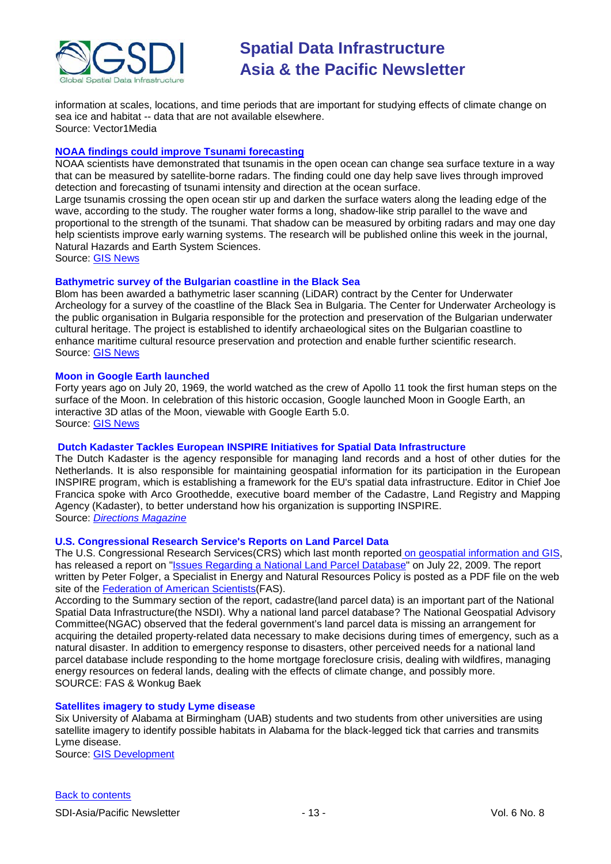

information at scales, locations, and time periods that are important for studying effects of climate change on sea ice and habitat -- data that are not available elsewhere. Source: Vector1Media

#### **[NOAA findings could improve Tsunami forecasting](http://www.gisdevelopment.net/news/viewn.asp?id=GIS:N_otnquxkzdb)**

NOAA scientists have demonstrated that tsunamis in the open ocean can change sea surface texture in a way that can be measured by satellite-borne radars. The finding could one day help save lives through improved detection and forecasting of tsunami intensity and direction at the ocean surface.

Large tsunamis crossing the open ocean stir up and darken the surface waters along the leading edge of the wave, according to the study. The rougher water forms a long, shadow-like strip parallel to the wave and proportional to the strength of the tsunami. That shadow can be measured by orbiting radars and may one day help scientists improve early warning systems. The research will be published online this week in the journal, Natural Hazards and Earth System Sciences.

Source: [GIS News](http://www.gisdevelopment.net/news/viewn.asp?id=GIS:N_otnquxkzdb)

#### **Bathymetric survey of the Bulgarian coastline in the Black Sea**

Blom has been awarded a bathymetric laser scanning (LiDAR) contract by the Center for Underwater Archeology for a survey of the coastline of the Black Sea in Bulgaria. The Center for Underwater Archeology is the public organisation in Bulgaria responsible for the protection and preservation of the Bulgarian underwater cultural heritage. The project is established to identify archaeological sites on the Bulgarian coastline to enhance maritime cultural resource preservation and protection and enable further scientific research. Source: [GIS News](http://www.gisdevelopment.net/news/viewn.asp?id=GIS:N_cagxqldiwe)

#### **Moon in Google Earth launched**

Forty years ago on July 20, 1969, the world watched as the crew of Apollo 11 took the first human steps on the surface of the Moon. In celebration of this historic occasion, Google launched Moon in Google Earth, an interactive 3D atlas of the Moon, viewable with Google Earth 5.0. Source: [GIS News](http://www.gisdevelopment.net/news/viewn.asp?id=GIS:N_rtnodlqhmv)

#### **Dutch Kadaster Tackles European INSPIRE Initiatives for Spatial Data Infrastructure**

The Dutch Kadaster is the agency responsible for managing land records and a host of other duties for the Netherlands. It is also responsible for maintaining geospatial information for its participation in the European INSPIRE program, which is establishing a framework for the EU's spatial data infrastructure. Editor in Chief Joe Francica spoke with Arco Groothedde, executive board member of the Cadastre, Land Registry and Mapping Agency (Kadaster), to better understand how his organization is supporting INSPIRE. Source: *[Directions Magazine](http://www.directionsmag.com/article.php?article_id=3229)*

#### **U.S. Congressional Research Service's Reports on Land Parcel Data**

The U.S. Congressional Research Services(CRS) which last month reported [on geospatial information and GIS,](http://www.nsgic.org/blog/2009/06/congressional-research-service-looks-at.html) has released a report on ["Issues Regarding a National Land Parcel Database"](http://www.fas.org/sgp/crs/misc/R40717.pdf) on July 22, 2009. The report written by Peter Folger, a Specialist in Energy and Natural Resources Policy is posted as a PDF file on the web site of the **Federation of American Scientists** (FAS).

According to the Summary section of the report, cadastre(land parcel data) is an important part of the National Spatial Data Infrastructure(the NSDI). Why a national land parcel database? The National Geospatial Advisory Committee(NGAC) observed that the federal government's land parcel data is missing an arrangement for acquiring the detailed property-related data necessary to make decisions during times of emergency, such as a natural disaster. In addition to emergency response to disasters, other perceived needs for a national land parcel database include responding to the home mortgage foreclosure crisis, dealing with wildfires, managing energy resources on federal lands, dealing with the effects of climate change, and possibly more. SOURCE: FAS & Wonkug Baek

#### **Satellites imagery to study Lyme disease**

Six University of Alabama at Birmingham (UAB) students and two students from other universities are using satellite imagery to identify possible habitats in Alabama for the black-legged tick that carries and transmits Lyme disease.

Source: [GIS Development](http://www.gisdevelopment.net/news/viewn.asp?id=GIS:N_zhopuqvjsy)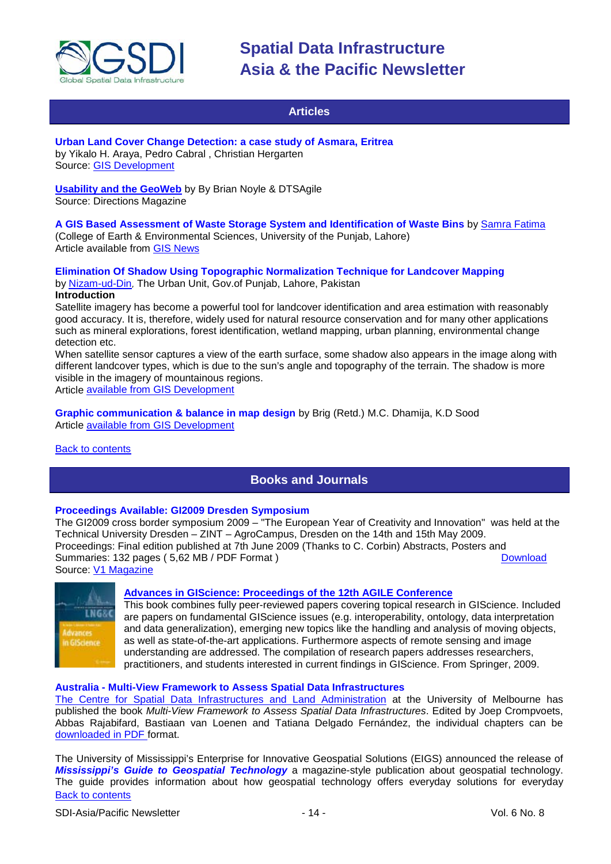

### **Articles**

#### <span id="page-13-0"></span>**Urban Land Cover Change Detection: a case study of Asmara, Eritrea**  by Yikalo H. Araya, Pedro Cabral , Christian Hergarten Source: [GIS Development](http://www.gisdevelopment.net/application/lis/urban/Yikalo.htm)

**[Usability and the GeoWeb](http://www.directionsmag.com/article.php?article_id=3218)** by By Brian Noyle & DTSAgile Source: Directions Magazine

### **A GIS Based Assessment of Waste Storage System and Identification of Waste Bins** by [Samra Fatima](mailto:samra.fatima@gmail.com)

(College of Earth & Environmental Sciences, University of the Punjab, Lahore) Article available from [GIS News](http://www.gisdevelopment.net/application/environment/conservation/Samra_Fatima.htm)

#### **Elimination Of Shadow Using Topographic Normalization Technique for Landcover Mapping** by [Nizam-ud-Din](mailto:nizam_space@hotmail.com), The Urban Unit, Gov.of Punjab, Lahore, Pakistan

#### **Introduction**

Satellite imagery has become a powerful tool for landcover identification and area estimation with reasonably good accuracy. It is, therefore, widely used for natural resource conservation and for many other applications such as mineral explorations, forest identification, wetland mapping, urban planning, environmental change detection etc.

When satellite sensor captures a view of the earth surface, some shadow also appears in the image along with different landcover types, which is due to the sun's angle and topography of the terrain. The shadow is more visible in the imagery of mountainous regions.

Article [available from GIS Development](http://www.gisdevelopment.net/application/nrm/mountain/nizamudin.htm)

**Graphic communication & balance in map design** by Brig (Retd.) M.C. Dhamija, K.D Sood Article [available from GIS Development](http://www.gisdevelopment.net/application/utility/others/uti_dhamija.htm)

#### <span id="page-13-1"></span>[Back to contents](#page-0-0)

## **Books and Journals**

### **Proceedings Available: GI2009 Dresden Symposium**

The GI2009 cross border symposium 2009 – "The European Year of Creativity and Innovation" was held at the Technical University Dresden – ZINT – AgroCampus, Dresden on the 14th and 15th May 2009. Proceedings: Final edition published at 7th June 2009 (Thanks to C. Corbin) Abstracts, Posters and<br>Summaries: 132 pages (5.62 MB / PDF Format ) Summaries: 132 pages ( 5,62 MB / PDF Format ) Source: [V1 Magazine](http://www.vector1media.com/top-stories/corporate-news/proceedings-available%3a-gi2009-dresden-symposium-/)



#### **[Advances in GIScience: Proceedings of the 12th AGILE Conference](http://newsletter.directionsmag.com/link.php?M=145624&N=1733&L=26480)**

This book combines fully peer-reviewed papers covering topical research in GIScience. Included are papers on fundamental GIScience issues (e.g. interoperability, ontology, data interpretation and data generalization), emerging new topics like the handling and analysis of moving objects, as well as state-of-the-art applications. Furthermore aspects of remote sensing and image understanding are addressed. The compilation of research papers addresses researchers, practitioners, and students interested in current findings in GIScience. From Springer, 2009.

#### **Australia - Multi-View Framework to Assess Spatial Data Infrastructures**

[The Centre for Spatial Data Infrastructures and Land Administration](http://www.csdila.unimelb.edu.au/) at the University of Melbourne has published the book *Multi-View Framework to Assess Spatial Data Infrastructures*. Edited by Joep Crompvoets, Abbas Rajabifard, Bastiaan van Loenen and Tatiana Delgado Fernández, the individual chapters can be [downloaded in PDF](http://www.csdila.unimelb.edu.au/publication/books/mvfasdi.html) format.

[Back to contents](#page-0-0) The University of Mississippi's Enterprise for Innovative Geospatial Solutions (EIGS) announced the release of *Mississippi's Guide to Geospatial Technology* a magazine-style publication about geospatial technology. The guide provides information about how geospatial technology offers everyday solutions for everyday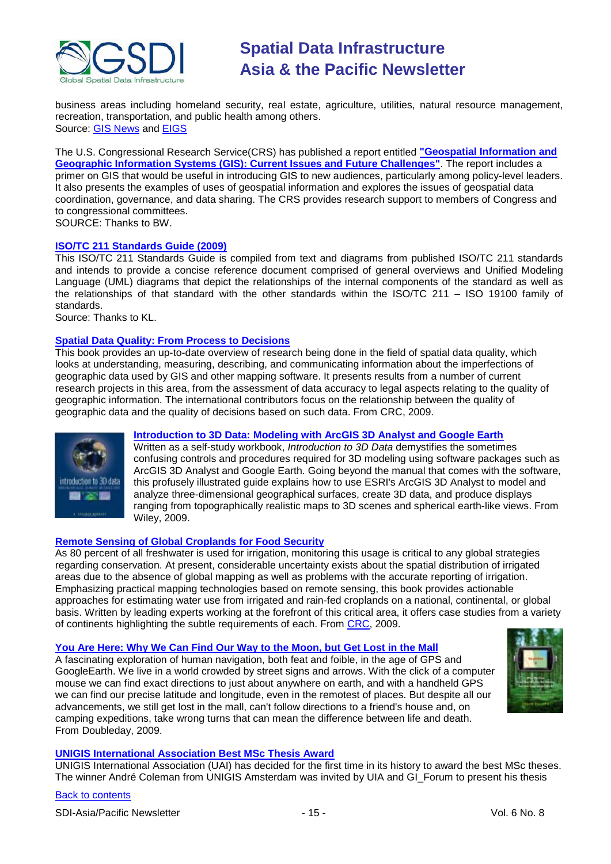

business areas including homeland security, real estate, agriculture, utilities, natural resource management, recreation, transportation, and public health among others. Source: [GIS News](http://www.gisdevelopment.net/news/viewn.asp?id=GIS:N_osgkpimzaf&Ezine=jul0609§ion=News) and [EIGS](http://eigs.olemiss.edu/)

The U.S. Congressional Research Service(CRS) has published a report entitled **["Geospatial Information and](http://www.fas.org/sgp/crs/misc/R40625.pdf)  [Geographic Information Systems \(GIS\): Current Issues and Future Challenges"](http://www.fas.org/sgp/crs/misc/R40625.pdf)**. The report includes a primer on GIS that would be useful in introducing GIS to new audiences, particularly among policy-level leaders. It also presents the examples of uses of geospatial information and explores the issues of geospatial data coordination, governance, and data sharing. The CRS provides research support to members of Congress and to congressional committees. SOURCE: Thanks to BW.

#### **[ISO/TC 211 Standards Guide \(2009\)](http://www.isotc211.org/Outreach/ISO_TC%20_211_Standards_Guide.pdf)**

This ISO/TC 211 Standards Guide is compiled from text and diagrams from published ISO/TC 211 standards and intends to provide a concise reference document comprised of general overviews and Unified Modeling Language (UML) diagrams that depict the relationships of the internal components of the standard as well as the relationships of that standard with the other standards within the ISO/TC 211 – ISO 19100 family of standards.

Source: Thanks to KL.

#### **[Spatial Data Quality: From Process to Decisions](http://newsletter.directionsmag.com/link.php?M=145624&N=1753&L=26584)**

This book provides an up-to-date overview of research being done in the field of spatial data quality, which looks at understanding, measuring, describing, and communicating information about the imperfections of geographic data used by GIS and other mapping software. It presents results from a number of current research projects in this area, from the assessment of data accuracy to legal aspects relating to the quality of geographic information. The international contributors focus on the relationship between the quality of geographic data and the quality of decisions based on such data. From CRC, 2009.



### **[Introduction to 3D Data: Modeling with ArcGIS 3D Analyst and Google Earth](http://newsletter.directionsmag.com/link.php?M=145624&N=1753&L=26586)**

Written as a self-study workbook, *Introduction to 3D Data* demystifies the sometimes confusing controls and procedures required for 3D modeling using software packages such as ArcGIS 3D Analyst and Google Earth. Going beyond the manual that comes with the software, this profusely illustrated guide explains how to use ESRI's ArcGIS 3D Analyst to model and analyze three-dimensional geographical surfaces, create 3D data, and produce displays ranging from topographically realistic maps to 3D scenes and spherical earth-like views. From Wiley, 2009.

#### **[Remote Sensing of Global Croplands for Food Security](http://newsletter.directionsmag.com/link.php?M=145624&N=1753&L=26585)**

As 80 percent of all freshwater is used for irrigation, monitoring this usage is critical to any global strategies regarding conservation. At present, considerable uncertainty exists about the spatial distribution of irrigated areas due to the absence of global mapping as well as problems with the accurate reporting of irrigation. Emphasizing practical mapping technologies based on remote sensing, this book provides actionable approaches for estimating water use from irrigated and rain-fed croplands on a national, continental, or global basis. Written by leading experts working at the forefront of this critical area, it offers case studies from a variety of continents highlighting the subtle requirements of each. From [CRC,](http://www.crcpress.com/) 2009.

#### **[You Are Here: Why We Can Find Our Way to the Moon, but Get Lost in the Mall](http://www.amazon.com/exec/obidos/ASIN/038552806X/directionsm00-20)**

A fascinating exploration of human navigation, both feat and foible, in the age of GPS and GoogleEarth. We live in a world crowded by street signs and arrows. With the click of a computer mouse we can find exact directions to just about anywhere on earth, and with a handheld GPS we can find our precise latitude and longitude, even in the remotest of places. But despite all our advancements, we still get lost in the mall, can't follow directions to a friend's house and, on camping expeditions, take wrong turns that can mean the difference between life and death. From Doubleday, 2009.



#### **[UNIGIS International Association Best MSc Thesis Award](http://www.vector1media.com/top-stories/corporate-news/unigis-international-association--best-msc-thesis-award/)**

UNIGIS International Association (UAI) has decided for the first time in its history to award the best MSc theses. The winner André Coleman from UNIGIS Amsterdam was invited by UIA and GI\_Forum to present his thesis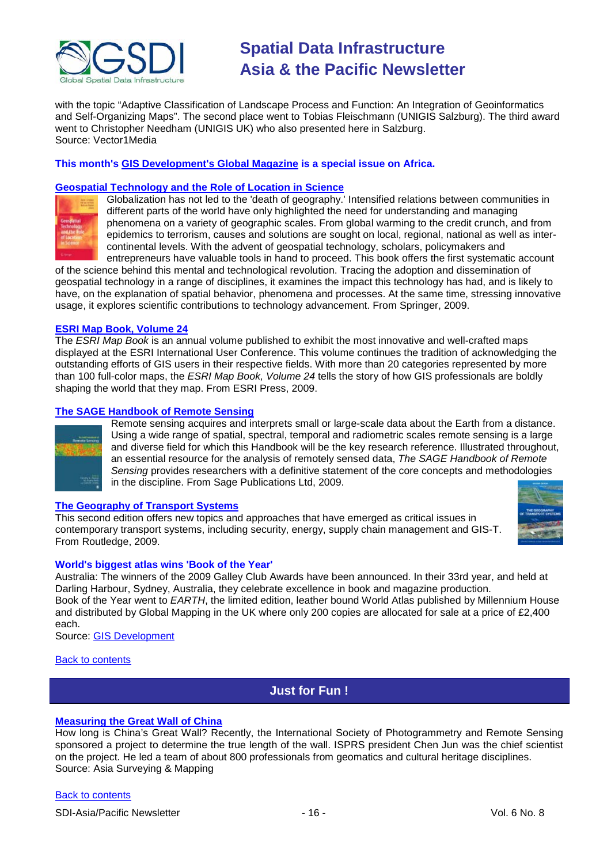

with the topic "Adaptive Classification of Landscape Process and Function: An Integration of Geoinformatics and Self-Organizing Maps". The second place went to Tobias Fleischmann (UNIGIS Salzburg). The third award went to Christopher Needham (UNIGIS UK) who also presented here in Salzburg. Source: Vector1Media

#### **This month's [GIS Development's Global Magazine](http://www.gisdevelopment.net/magazine/global/2009/july/globaljuly09.pdf) is a special issue on Africa.**

#### **[Geospatial Technology and the Role of Location in Science](http://newsletter.directionsmag.com/link.php?M=145624&N=1807&L=26872)**



Globalization has not led to the 'death of geography.' Intensified relations between communities in different parts of the world have only highlighted the need for understanding and managing phenomena on a variety of geographic scales. From global warming to the credit crunch, and from epidemics to terrorism, causes and solutions are sought on local, regional, national as well as intercontinental levels. With the advent of geospatial technology, scholars, policymakers and entrepreneurs have valuable tools in hand to proceed. This book offers the first systematic account

of the science behind this mental and technological revolution. Tracing the adoption and dissemination of geospatial technology in a range of disciplines, it examines the impact this technology has had, and is likely to have, on the explanation of spatial behavior, phenomena and processes. At the same time, stressing innovative usage, it explores scientific contributions to technology advancement. From Springer, 2009.

#### **[ESRI Map Book, Volume 24](http://www.amazon.com/exec/obidos/ASIN/1589482301/directionsm00-20)**

The *ESRI Map Book* is an annual volume published to exhibit the most innovative and well-crafted maps displayed at the ESRI International User Conference. This volume continues the tradition of acknowledging the outstanding efforts of GIS users in their respective fields. With more than 20 categories represented by more than 100 full-color maps, the *ESRI Map Book, Volume 24* tells the story of how GIS professionals are boldly shaping the world that they map. From ESRI Press, 2009.

#### **[The SAGE Handbook of Remote Sensing](http://www.amazon.com/exec/obidos/ASIN/1412936160/directionsm00-20)**



Remote sensing acquires and interprets small or large-scale data about the Earth from a distance. Using a wide range of spatial, spectral, temporal and radiometric scales remote sensing is a large and diverse field for which this Handbook will be the key research reference. Illustrated throughout, an essential resource for the analysis of remotely sensed data, *The SAGE Handbook of Remote Sensing* provides researchers with a definitive statement of the core concepts and methodologies in the discipline. From Sage Publications Ltd, 2009.

#### **[The Geography of Transport Systems](http://www.amazon.com/exec/obidos/ASIN/0415483247/directionsm00-20)**

This second edition offers new topics and approaches that have emerged as critical issues in contemporary transport systems, including security, energy, supply chain management and GIS-T. From Routledge, 2009.



#### **World's biggest atlas wins 'Book of the Year'**

Australia: The winners of the 2009 Galley Club Awards have been announced. In their 33rd year, and held at Darling Harbour, Sydney, Australia, they celebrate excellence in book and magazine production. Book of the Year went to *EARTH*, the limited edition, leather bound World Atlas published by Millennium House and distributed by Global Mapping in the UK where only 200 copies are allocated for sale at a price of £2,400 each.

Source: [GIS Development](http://www.gisdevelopment.net/news/viewn.asp?id=GIS:N_esmifkapvw)

#### <span id="page-15-0"></span>[Back to contents](#page-0-0)

### **Just for Fun !**

#### **[Measuring the Great Wall of China](http://www.asmmag.com/news/measuring-the-great-wall-of-china)**

How long is China's Great Wall? Recently, the International Society of Photogrammetry and Remote Sensing sponsored a project to determine the true length of the wall. ISPRS president Chen Jun was the chief scientist on the project. He led a team of about 800 professionals from geomatics and cultural heritage disciplines. Source: Asia Surveying & Mapping

#### [Back to contents](#page-0-0)

SDI-Asia/Pacific Newsletter  $\sim$  16 - 16 - Vol. 6 No. 8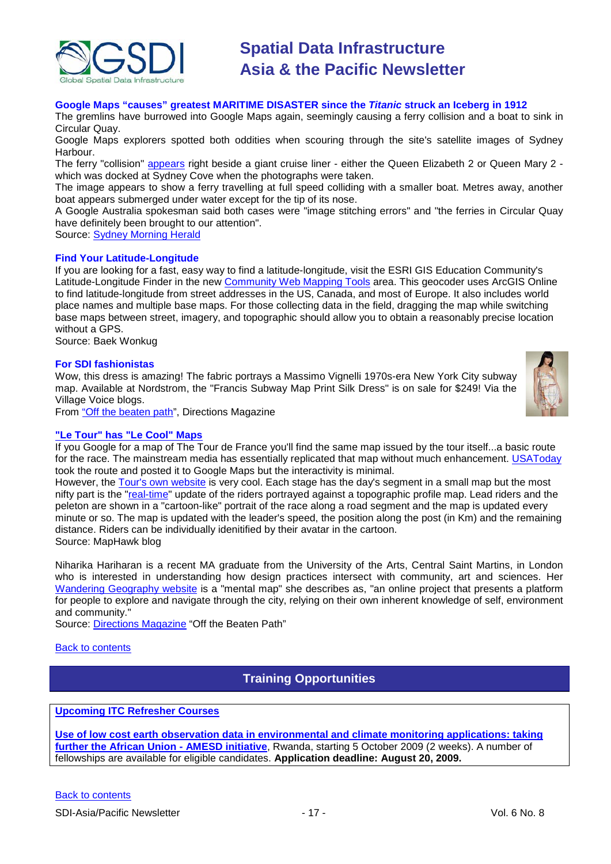

#### **Google Maps "causes" greatest MARITIME DISASTER since the** *Titanic* **struck an Iceberg in 1912**

The gremlins have burrowed into Google Maps again, seemingly causing a ferry collision and a boat to sink in Circular Quay.

Google Maps explorers spotted both oddities when scouring through the site's satellite images of Sydney Harbour.

The ferry "collision" [appears](http://maps.google.com.au/maps?f=q&hl=en&geocode=&q=opera+house&sll=-25.335448,135.745076&sspn=54.180232,82.265625&ie=UTF8&ll=-33.858032,151.211389&spn=0.001566,0.002511&t=h&z=19) right beside a giant cruise liner - either the Queen Elizabeth 2 or Queen Mary 2 which was docked at Sydney Cove when the photographs were taken.

The image appears to show a ferry travelling at full speed colliding with a smaller boat. Metres away, another boat appears submerged under water except for the tip of its nose.

A Google Australia spokesman said both cases were "image stitching errors" and "the ferries in Circular Quay have definitely been brought to our attention".

Source: [Sydney Morning Herald](http://www.smh.com.au/technology/technology-news/oops-ferry-crash-unstitches-google-maps-20090618-cl13.html)

#### **Find Your Latitude-Longitude**

If you are looking for a fast, easy way to find a latitude-longitude, visit the ESRI GIS Education Community's Latitude-Longitude Finder in the new [Community Web Mapping Tools](http://edcommunity.esri.com/maps/index.cfm) area. This geocoder uses ArcGIS Online to find latitude-longitude from street addresses in the US, Canada, and most of Europe. It also includes world place names and multiple base maps. For those collecting data in the field, dragging the map while switching base maps between street, imagery, and topographic should allow you to obtain a reasonably precise location without a GPS.

Source: Baek Wonkug

#### **For SDI fashionistas**

Wow, this dress is amazing! The fabric portrays a Massimo Vignelli 1970s-era New York City subway map. Available at Nordstrom, the "Francis Subway Map Print Silk Dress" is on sale for \$249! Via the Village Voice blogs.



From ["Off the beaten path"](http://www.directionsmedia.net/newsletters.archive/index.php?ID=1438), Directions Magazine

#### **["Le Tour" has "Le Cool" Maps](http://maphawk.blogspot.com/2009/07/le-tour-has-le-cool-maps.html)**

If you Google for a map of The Tour de France you'll find the same map issued by the tour itself...a basic route for the race. The mainstream media has essentially replicated that map without much enhancement. [USAToday](http://i.usatoday.net/sports/graphics/2009/tourdfmaster/flash.htm) took the route and posted it to Google Maps but the interactivity is minimal.

However, the [Tour's own website](http://www.letour.fr/indexus.html) is very cool. Each stage has the day's segment in a small map but the most nifty part is the ["real-time"](http://gaps.letour.fr/us.html) update of the riders portrayed against a topographic profile map. Lead riders and the peleton are shown in a "cartoon-like" portrait of the race along a road segment and the map is updated every minute or so. The map is updated with the leader's speed, the position along the post (in Km) and the remaining distance. Riders can be individually idenitified by their avatar in the cartoon. Source: MapHawk blog

Niharika Hariharan is a recent MA graduate from the University of the Arts, Central Saint Martins, in London who is interested in understanding how design practices intersect with community, art and sciences. Her [Wandering Geography website](http://www.wandering-geography.com/) is a "mental map" she describes as, "an online project that presents a platform for people to explore and navigate through the city, relying on their own inherent knowledge of self, environment and community."

Source: [Directions Magazine](http://www.directionsmedia.net/newsletters.archive/index.php?ID=1448) "Off the Beaten Path"

<span id="page-16-0"></span>[Back to contents](#page-0-0)

**Training Opportunities**

#### **[Upcoming ITC Refresher Courses](http://www.itc.nl/education/courses.aspx)**

**[Use of low cost earth observation data in environmental and climate monitoring applications: taking](http://www.itc.nl/education/courses/course_descriptions/C09-WRS-RC-01.aspx)  [further the African Union -](http://www.itc.nl/education/courses/course_descriptions/C09-WRS-RC-01.aspx) AMESD initiative**, Rwanda, starting 5 October 2009 (2 weeks). A number of fellowships are available for eligible candidates. **Application deadline: August 20, 2009.**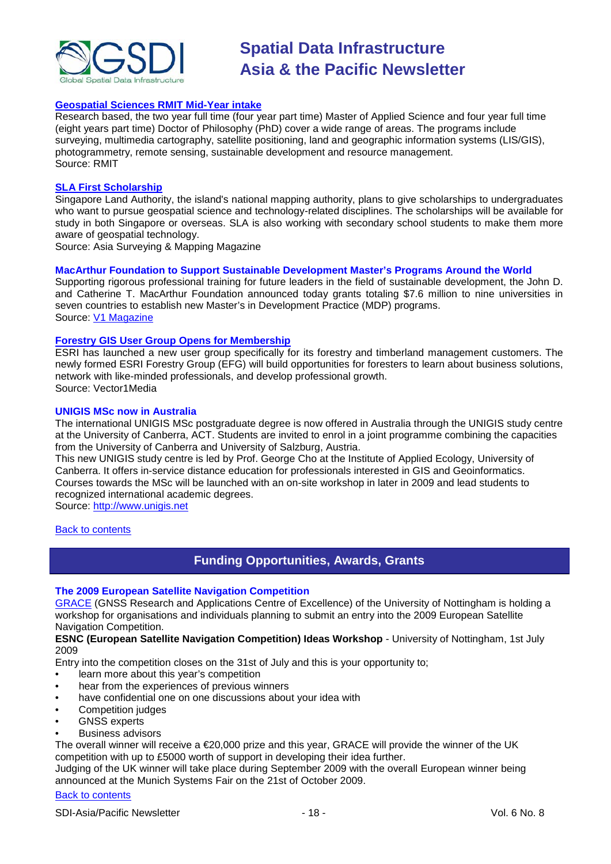

#### **[Geospatial Sciences RMIT Mid-Year intake](http://www.rmit.com/browse;ID=tcb2mqwtdcyw)**

Research based, the two year full time (four year part time) Master of Applied Science and four year full time (eight years part time) Doctor of Philosophy (PhD) cover a wide range of areas. The programs include surveying, multimedia cartography, satellite positioning, land and geographic information systems (LIS/GIS), photogrammetry, remote sensing, sustainable development and resource management. Source: RMIT

#### **[SLA First Scholarship](http://www.asmmag.com/news/sla-first-scholarship)**

Singapore Land Authority, the island's national mapping authority, plans to give scholarships to undergraduates who want to pursue geospatial science and technology-related disciplines. The scholarships will be available for study in both Singapore or overseas. SLA is also working with secondary school students to make them more aware of geospatial technology.

Source: Asia Surveying & Mapping Magazine

#### **MacArthur Foundation to Support Sustainable Development Master's Programs Around the World**

Supporting rigorous professional training for future leaders in the field of sustainable development, the John D. and Catherine T. MacArthur Foundation announced today grants totaling \$7.6 million to nine universities in seven countries to establish new Master's in Development Practice (MDP) programs. Source: [V1 Magazine](http://www.vector1media.com/top-stories/corporate-news/macarthur-to-support-sustainable-development-master%92s-programs-around-the-world/)

#### **[Forestry GIS User Group Opens for Membership](http://www.vector1media.com/top-stories/corporate-news/forestry-gis-user-group-opens-for-membership/)**

ESRI has launched a new user group specifically for its forestry and timberland management customers. The newly formed ESRI Forestry Group (EFG) will build opportunities for foresters to learn about business solutions, network with like-minded professionals, and develop professional growth. Source: Vector1Media

#### **UNIGIS MSc now in Australia**

The international UNIGIS MSc postgraduate degree is now offered in Australia through the UNIGIS study centre at the University of Canberra, ACT. Students are invited to enrol in a joint programme combining the capacities from the University of Canberra and University of Salzburg, Austria.

This new UNIGIS study centre is led by Prof. George Cho at the Institute of Applied Ecology, University of Canberra. It offers in-service distance education for professionals interested in GIS and Geoinformatics. Courses towards the MSc will be launched with an on-site workshop in later in 2009 and lead students to recognized international academic degrees.

Source: [http://www.unigis.net](http://www.unigis.net/)

#### <span id="page-17-0"></span>[Back to contents](#page-0-0)

### **Funding Opportunities, Awards, Grants**

#### **The 2009 European Satellite Navigation Competition**

[GRACE](http://www.grace.ac.uk/) (GNSS Research and Applications Centre of Excellence) of the University of Nottingham is holding a workshop for organisations and individuals planning to submit an entry into the 2009 European Satellite Navigation Competition.

#### **ESNC (European Satellite Navigation Competition) Ideas Workshop** - University of Nottingham, 1st July 2009

Entry into the competition closes on the 31st of July and this is your opportunity to;

- learn more about this year's competition
- hear from the experiences of previous winners
- have confidential one on one discussions about your idea with
- Competition judges
- **GNSS** experts
- Business advisors

The overall winner will receive a €20,000 prize and this year, GRACE will provide the winner of the UK competition with up to £5000 worth of support in developing their idea further.

Judging of the UK winner will take place during September 2009 with the overall European winner being announced at the Munich Systems Fair on the 21st of October 2009.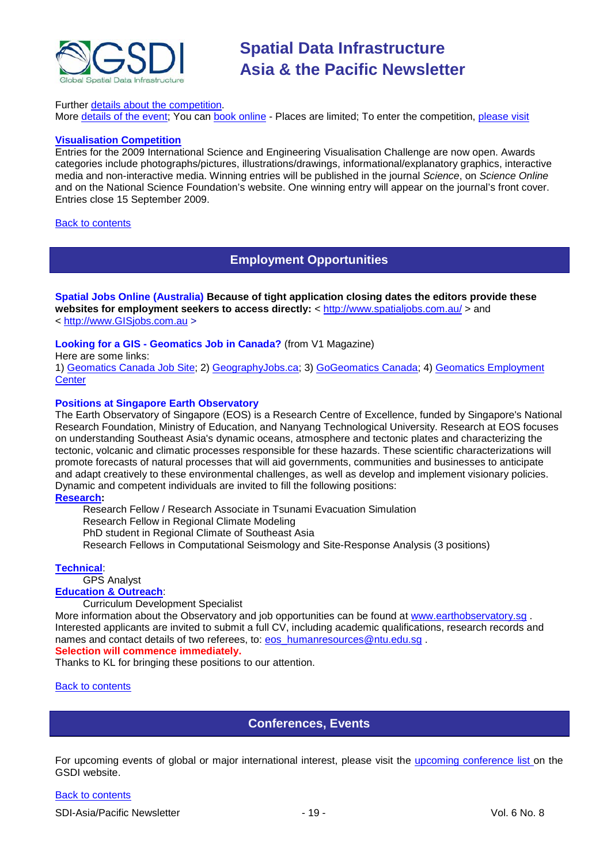

#### Further [details about the](http://www.galileomasters.co.uk/) competition.

More [details of the event;](http://www.grace.ac.uk/events/esnc09/index.php) You can [book online](http://www.grace.ac.uk/events/esnc09/booking.php) - Places are limited; To enter the competition, [please visit](http://www.galileo-masters.eu/)

#### **[Visualisation Competition](http://www.nsf.gov/news/scivis)**

Entries for the 2009 International Science and Engineering Visualisation Challenge are now open. Awards categories include photographs/pictures, illustrations/drawings, informational/explanatory graphics, interactive media and non-interactive media. Winning entries will be published in the journal *Science*, on *Science Online* and on the National Science Foundation's website. One winning entry will appear on the journal's front cover. Entries close 15 September 2009.

#### <span id="page-18-0"></span>**[Back to contents](#page-0-0)**

### **Employment Opportunities**

**Spatial Jobs Online (Australia) Because of tight application closing dates the editors provide these**  websites for employment seekers to access directly: <<http://www.spatialjobs.com.au/> > and < [http://www.GISjobs.com.au](http://www.gisjobs.com.au/) >

#### **Looking for a GIS - Geomatics Job in Canada?** (from V1 Magazine)

Here are some links:

1) [Geomatics Canada Job Site;](http://geomaticscanada.com/jobs.cfm) 2) [GeographyJobs.ca;](http://www.geographyjobs.ca/) 3) [GoGeomatics Canada;](http://canada.gogeomatics.net/frmHome.aspx) 4) [Geomatics Employment](http://gisjobs.ca/)  **[Center](http://gisjobs.ca/)** 

#### **Positions at Singapore Earth Observatory**

The Earth Observatory of Singapore (EOS) is a Research Centre of Excellence, funded by Singapore's National Research Foundation, Ministry of Education, and Nanyang Technological University. Research at EOS focuses on understanding Southeast Asia's dynamic oceans, atmosphere and tectonic plates and characterizing the tectonic, volcanic and climatic processes responsible for these hazards. These scientific characterizations will promote forecasts of natural processes that will aid governments, communities and businesses to anticipate and adapt creatively to these environmental challenges, as well as develop and implement visionary policies. Dynamic and competent individuals are invited to fill the following positions:

#### **[Research:](http://www.earthobservatory.sg/careers/jobopenings_research.php)**

Research Fellow / Research Associate in Tsunami Evacuation Simulation Research Fellow in Regional Climate Modeling PhD student in Regional Climate of Southeast Asia Research Fellows in Computational Seismology and Site-Response Analysis (3 positions)

#### **[Technical](http://www.earthobservatory.sg/careers/jobopenings_technical.php)**:

GPS Analyst **[Education & Outreach](http://www.earthobservatory.sg/careers/jobopenings_educationandoutreach.php)**:

#### Curriculum Development Specialist

More information about the Observatory and job opportunities can be found at [www.earthobservatory.sg](http://www.earthobservatory.sg/) . Interested applicants are invited to submit a full CV, including academic qualifications, research records and names and contact details of two referees, to: eos\_humanresources@ntu.edu.sq . **Selection will commence immediately.**

Thanks to KL for bringing these positions to our attention.

#### <span id="page-18-1"></span>**[Back to contents](#page-0-0)**

### **Conferences, Events**

For upcoming events of global or major international interest, please visit the [upcoming conference list o](http://gsdi.org/events/upcnf.asp)n the GSDI website.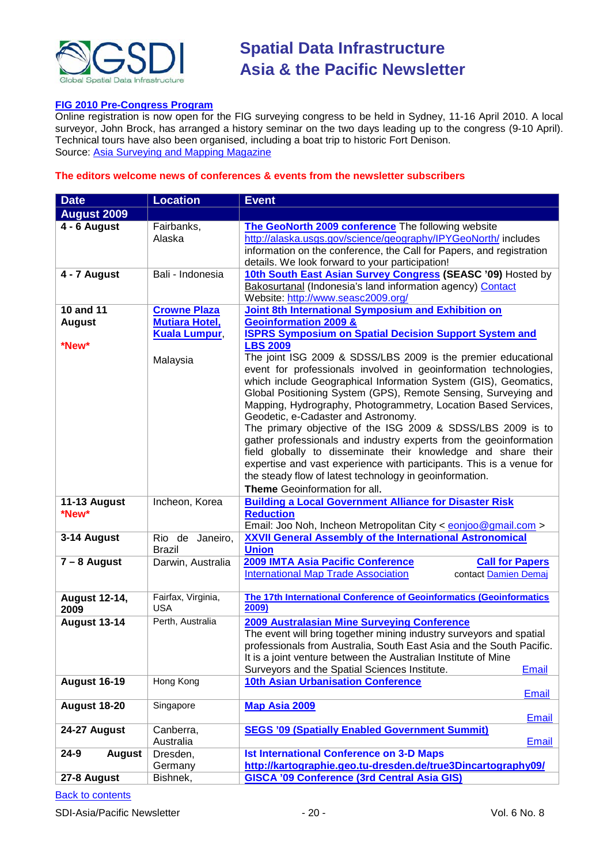

#### **[FIG 2010 Pre-Congress Program](http://www.asmmag.com/news/fig-2010-pre-congress-program)**

Online registration is now open for the FIG surveying congress to be held in Sydney, 11-16 April 2010. A local surveyor, John Brock, has arranged a history seminar on the two days leading up to the congress (9-10 April). Technical tours have also been organised, including a boat trip to historic Fort Denison. Source: [Asia Surveying and Mapping Magazine](http://www.asmmag.com/news/fig-2010-pre-congress-program)

#### **The editors welcome news of conferences & events from the newsletter subscribers**

| <b>August 2009</b><br>4 - 6 August<br>The GeoNorth 2009 conference The following website<br>Fairbanks,<br>http://alaska.usgs.gov/science/geography/IPYGeoNorth/ includes<br>Alaska<br>information on the conference, the Call for Papers, and registration<br>details. We look forward to your participation!<br>10th South East Asian Survey Congress (SEASC '09) Hosted by<br>Bali - Indonesia<br>4 - 7 August<br>Bakosurtanal (Indonesia's land information agency) Contact<br>Website: http://www.seasc2009.org/<br>10 and 11<br><b>Joint 8th International Symposium and Exhibition on</b><br><b>Crowne Plaza</b><br><b>Geoinformation 2009 &amp;</b><br><b>Mutiara Hotel,</b><br><b>August</b><br><b>ISPRS Symposium on Spatial Decision Support System and</b><br>Kuala Lumpur,<br><b>LBS 2009</b><br>*New*<br>The joint ISG 2009 & SDSS/LBS 2009 is the premier educational<br>Malaysia<br>event for professionals involved in geoinformation technologies,<br>which include Geographical Information System (GIS), Geomatics,<br>Global Positioning System (GPS), Remote Sensing, Surveying and<br>Mapping, Hydrography, Photogrammetry, Location Based Services,<br>Geodetic, e-Cadaster and Astronomy.<br>The primary objective of the ISG 2009 & SDSS/LBS 2009 is to<br>gather professionals and industry experts from the geoinformation<br>field globally to disseminate their knowledge and share their<br>expertise and vast experience with participants. This is a venue for<br>the steady flow of latest technology in geoinformation.<br>Theme Geoinformation for all.<br><b>Building a Local Government Alliance for Disaster Risk</b><br>11-13 August<br>Incheon, Korea<br>*New*<br><b>Reduction</b><br>Email: Joo Noh, Incheon Metropolitan City < eonjoo@gmail.com ><br><b>XXVII General Assembly of the International Astronomical</b><br>3-14 August<br>Rio de<br>Janeiro,<br><b>Union</b><br><b>Brazil</b><br>2009 IMTA Asia Pacific Conference<br>$7 - 8$ August<br>Darwin, Australia<br><b>Call for Papers</b><br><b>International Map Trade Association</b><br>contact Damien Demaj<br>The 17th International Conference of Geoinformatics (Geoinformatics<br><b>August 12-14,</b><br>Fairfax, Virginia,<br>2009<br><b>USA</b><br>2009<br>Perth, Australia<br><b>August 13-14</b><br>2009 Australasian Mine Surveying Conference<br>The event will bring together mining industry surveyors and spatial<br>professionals from Australia, South East Asia and the South Pacific.<br>It is a joint venture between the Australian Institute of Mine<br>Surveyors and the Spatial Sciences Institute.<br>Email<br><b>August 16-19</b><br>Hong Kong<br><b>10th Asian Urbanisation Conference</b><br><b>Email</b><br><b>August 18-20</b><br>Singapore<br><b>Map Asia 2009</b><br><b>Email</b><br>24-27 August<br><b>SEGS '09 (Spatially Enabled Government Summit)</b><br>Canberra,<br>Australia<br>Email<br>Dresden,<br><b>Ist International Conference on 3-D Maps</b><br>$24 - 9$<br><b>August</b><br>http://kartographie.geo.tu-dresden.de/true3Dincartography09/<br>Germany | <b>Date</b> | <b>Location</b> | <b>Event</b>                                       |
|-----------------------------------------------------------------------------------------------------------------------------------------------------------------------------------------------------------------------------------------------------------------------------------------------------------------------------------------------------------------------------------------------------------------------------------------------------------------------------------------------------------------------------------------------------------------------------------------------------------------------------------------------------------------------------------------------------------------------------------------------------------------------------------------------------------------------------------------------------------------------------------------------------------------------------------------------------------------------------------------------------------------------------------------------------------------------------------------------------------------------------------------------------------------------------------------------------------------------------------------------------------------------------------------------------------------------------------------------------------------------------------------------------------------------------------------------------------------------------------------------------------------------------------------------------------------------------------------------------------------------------------------------------------------------------------------------------------------------------------------------------------------------------------------------------------------------------------------------------------------------------------------------------------------------------------------------------------------------------------------------------------------------------------------------------------------------------------------------------------------------------------------------------------------------------------------------------------------------------------------------------------------------------------------------------------------------------------------------------------------------------------------------------------------------------------------------------------------------------------------------------------------------------------------------------------------------------------------------------------------------------------------------------------------------------------------------------------------------------------------------------------------------------------------------------------------------------------------------------------------------------------------------------------------------------------------------------------------------------------------------------------------------------------------------------------------------------------------------------------|-------------|-----------------|----------------------------------------------------|
|                                                                                                                                                                                                                                                                                                                                                                                                                                                                                                                                                                                                                                                                                                                                                                                                                                                                                                                                                                                                                                                                                                                                                                                                                                                                                                                                                                                                                                                                                                                                                                                                                                                                                                                                                                                                                                                                                                                                                                                                                                                                                                                                                                                                                                                                                                                                                                                                                                                                                                                                                                                                                                                                                                                                                                                                                                                                                                                                                                                                                                                                                                           |             |                 |                                                    |
|                                                                                                                                                                                                                                                                                                                                                                                                                                                                                                                                                                                                                                                                                                                                                                                                                                                                                                                                                                                                                                                                                                                                                                                                                                                                                                                                                                                                                                                                                                                                                                                                                                                                                                                                                                                                                                                                                                                                                                                                                                                                                                                                                                                                                                                                                                                                                                                                                                                                                                                                                                                                                                                                                                                                                                                                                                                                                                                                                                                                                                                                                                           |             |                 |                                                    |
|                                                                                                                                                                                                                                                                                                                                                                                                                                                                                                                                                                                                                                                                                                                                                                                                                                                                                                                                                                                                                                                                                                                                                                                                                                                                                                                                                                                                                                                                                                                                                                                                                                                                                                                                                                                                                                                                                                                                                                                                                                                                                                                                                                                                                                                                                                                                                                                                                                                                                                                                                                                                                                                                                                                                                                                                                                                                                                                                                                                                                                                                                                           |             |                 |                                                    |
|                                                                                                                                                                                                                                                                                                                                                                                                                                                                                                                                                                                                                                                                                                                                                                                                                                                                                                                                                                                                                                                                                                                                                                                                                                                                                                                                                                                                                                                                                                                                                                                                                                                                                                                                                                                                                                                                                                                                                                                                                                                                                                                                                                                                                                                                                                                                                                                                                                                                                                                                                                                                                                                                                                                                                                                                                                                                                                                                                                                                                                                                                                           |             |                 |                                                    |
|                                                                                                                                                                                                                                                                                                                                                                                                                                                                                                                                                                                                                                                                                                                                                                                                                                                                                                                                                                                                                                                                                                                                                                                                                                                                                                                                                                                                                                                                                                                                                                                                                                                                                                                                                                                                                                                                                                                                                                                                                                                                                                                                                                                                                                                                                                                                                                                                                                                                                                                                                                                                                                                                                                                                                                                                                                                                                                                                                                                                                                                                                                           |             |                 |                                                    |
|                                                                                                                                                                                                                                                                                                                                                                                                                                                                                                                                                                                                                                                                                                                                                                                                                                                                                                                                                                                                                                                                                                                                                                                                                                                                                                                                                                                                                                                                                                                                                                                                                                                                                                                                                                                                                                                                                                                                                                                                                                                                                                                                                                                                                                                                                                                                                                                                                                                                                                                                                                                                                                                                                                                                                                                                                                                                                                                                                                                                                                                                                                           |             |                 |                                                    |
|                                                                                                                                                                                                                                                                                                                                                                                                                                                                                                                                                                                                                                                                                                                                                                                                                                                                                                                                                                                                                                                                                                                                                                                                                                                                                                                                                                                                                                                                                                                                                                                                                                                                                                                                                                                                                                                                                                                                                                                                                                                                                                                                                                                                                                                                                                                                                                                                                                                                                                                                                                                                                                                                                                                                                                                                                                                                                                                                                                                                                                                                                                           |             |                 |                                                    |
|                                                                                                                                                                                                                                                                                                                                                                                                                                                                                                                                                                                                                                                                                                                                                                                                                                                                                                                                                                                                                                                                                                                                                                                                                                                                                                                                                                                                                                                                                                                                                                                                                                                                                                                                                                                                                                                                                                                                                                                                                                                                                                                                                                                                                                                                                                                                                                                                                                                                                                                                                                                                                                                                                                                                                                                                                                                                                                                                                                                                                                                                                                           |             |                 |                                                    |
|                                                                                                                                                                                                                                                                                                                                                                                                                                                                                                                                                                                                                                                                                                                                                                                                                                                                                                                                                                                                                                                                                                                                                                                                                                                                                                                                                                                                                                                                                                                                                                                                                                                                                                                                                                                                                                                                                                                                                                                                                                                                                                                                                                                                                                                                                                                                                                                                                                                                                                                                                                                                                                                                                                                                                                                                                                                                                                                                                                                                                                                                                                           |             |                 |                                                    |
|                                                                                                                                                                                                                                                                                                                                                                                                                                                                                                                                                                                                                                                                                                                                                                                                                                                                                                                                                                                                                                                                                                                                                                                                                                                                                                                                                                                                                                                                                                                                                                                                                                                                                                                                                                                                                                                                                                                                                                                                                                                                                                                                                                                                                                                                                                                                                                                                                                                                                                                                                                                                                                                                                                                                                                                                                                                                                                                                                                                                                                                                                                           |             |                 |                                                    |
|                                                                                                                                                                                                                                                                                                                                                                                                                                                                                                                                                                                                                                                                                                                                                                                                                                                                                                                                                                                                                                                                                                                                                                                                                                                                                                                                                                                                                                                                                                                                                                                                                                                                                                                                                                                                                                                                                                                                                                                                                                                                                                                                                                                                                                                                                                                                                                                                                                                                                                                                                                                                                                                                                                                                                                                                                                                                                                                                                                                                                                                                                                           |             |                 |                                                    |
|                                                                                                                                                                                                                                                                                                                                                                                                                                                                                                                                                                                                                                                                                                                                                                                                                                                                                                                                                                                                                                                                                                                                                                                                                                                                                                                                                                                                                                                                                                                                                                                                                                                                                                                                                                                                                                                                                                                                                                                                                                                                                                                                                                                                                                                                                                                                                                                                                                                                                                                                                                                                                                                                                                                                                                                                                                                                                                                                                                                                                                                                                                           |             |                 |                                                    |
|                                                                                                                                                                                                                                                                                                                                                                                                                                                                                                                                                                                                                                                                                                                                                                                                                                                                                                                                                                                                                                                                                                                                                                                                                                                                                                                                                                                                                                                                                                                                                                                                                                                                                                                                                                                                                                                                                                                                                                                                                                                                                                                                                                                                                                                                                                                                                                                                                                                                                                                                                                                                                                                                                                                                                                                                                                                                                                                                                                                                                                                                                                           |             |                 |                                                    |
|                                                                                                                                                                                                                                                                                                                                                                                                                                                                                                                                                                                                                                                                                                                                                                                                                                                                                                                                                                                                                                                                                                                                                                                                                                                                                                                                                                                                                                                                                                                                                                                                                                                                                                                                                                                                                                                                                                                                                                                                                                                                                                                                                                                                                                                                                                                                                                                                                                                                                                                                                                                                                                                                                                                                                                                                                                                                                                                                                                                                                                                                                                           |             |                 |                                                    |
|                                                                                                                                                                                                                                                                                                                                                                                                                                                                                                                                                                                                                                                                                                                                                                                                                                                                                                                                                                                                                                                                                                                                                                                                                                                                                                                                                                                                                                                                                                                                                                                                                                                                                                                                                                                                                                                                                                                                                                                                                                                                                                                                                                                                                                                                                                                                                                                                                                                                                                                                                                                                                                                                                                                                                                                                                                                                                                                                                                                                                                                                                                           |             |                 |                                                    |
|                                                                                                                                                                                                                                                                                                                                                                                                                                                                                                                                                                                                                                                                                                                                                                                                                                                                                                                                                                                                                                                                                                                                                                                                                                                                                                                                                                                                                                                                                                                                                                                                                                                                                                                                                                                                                                                                                                                                                                                                                                                                                                                                                                                                                                                                                                                                                                                                                                                                                                                                                                                                                                                                                                                                                                                                                                                                                                                                                                                                                                                                                                           |             |                 |                                                    |
|                                                                                                                                                                                                                                                                                                                                                                                                                                                                                                                                                                                                                                                                                                                                                                                                                                                                                                                                                                                                                                                                                                                                                                                                                                                                                                                                                                                                                                                                                                                                                                                                                                                                                                                                                                                                                                                                                                                                                                                                                                                                                                                                                                                                                                                                                                                                                                                                                                                                                                                                                                                                                                                                                                                                                                                                                                                                                                                                                                                                                                                                                                           |             |                 |                                                    |
|                                                                                                                                                                                                                                                                                                                                                                                                                                                                                                                                                                                                                                                                                                                                                                                                                                                                                                                                                                                                                                                                                                                                                                                                                                                                                                                                                                                                                                                                                                                                                                                                                                                                                                                                                                                                                                                                                                                                                                                                                                                                                                                                                                                                                                                                                                                                                                                                                                                                                                                                                                                                                                                                                                                                                                                                                                                                                                                                                                                                                                                                                                           | 27-8 August | Bishnek,        | <b>GISCA '09 Conference (3rd Central Asia GIS)</b> |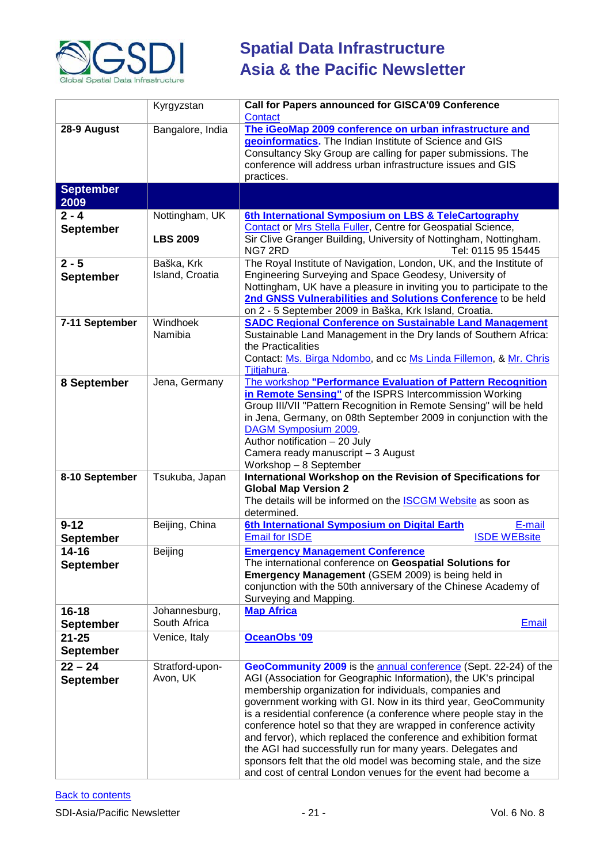

|                               | Kyrgyzstan                        | <b>Call for Papers announced for GISCA'09 Conference</b><br>Contact                                                                                                                                                                                                                                                                                                                                                                                                                                                                                                                                                                                                               |
|-------------------------------|-----------------------------------|-----------------------------------------------------------------------------------------------------------------------------------------------------------------------------------------------------------------------------------------------------------------------------------------------------------------------------------------------------------------------------------------------------------------------------------------------------------------------------------------------------------------------------------------------------------------------------------------------------------------------------------------------------------------------------------|
| 28-9 August                   | Bangalore, India                  | The iGeoMap 2009 conference on urban infrastructure and<br>geoinformatics. The Indian Institute of Science and GIS<br>Consultancy Sky Group are calling for paper submissions. The<br>conference will address urban infrastructure issues and GIS<br>practices.                                                                                                                                                                                                                                                                                                                                                                                                                   |
| <b>September</b><br>2009      |                                   |                                                                                                                                                                                                                                                                                                                                                                                                                                                                                                                                                                                                                                                                                   |
| $2 - 4$<br><b>September</b>   | Nottingham, UK<br><b>LBS 2009</b> | 6th International Symposium on LBS & TeleCartography<br>Contact or Mrs Stella Fuller, Centre for Geospatial Science,<br>Sir Clive Granger Building, University of Nottingham, Nottingham.<br>NG7 2RD<br>Tel: 0115 95 15445                                                                                                                                                                                                                                                                                                                                                                                                                                                        |
| $2 - 5$<br><b>September</b>   | Baška, Krk<br>Island, Croatia     | The Royal Institute of Navigation, London, UK, and the Institute of<br>Engineering Surveying and Space Geodesy, University of<br>Nottingham, UK have a pleasure in inviting you to participate to the<br>2nd GNSS Vulnerabilities and Solutions Conference to be held<br>on 2 - 5 September 2009 in Baška, Krk Island, Croatia.                                                                                                                                                                                                                                                                                                                                                   |
| 7-11 September                | Windhoek<br>Namibia               | <b>SADC Regional Conference on Sustainable Land Management</b><br>Sustainable Land Management in the Dry lands of Southern Africa:<br>the Practicalities<br>Contact: Ms. Birga Ndombo, and cc Ms Linda Fillemon, & Mr. Chris<br>Tjitjahura.                                                                                                                                                                                                                                                                                                                                                                                                                                       |
| 8 September                   | Jena, Germany                     | The workshop "Performance Evaluation of Pattern Recognition<br>in Remote Sensing" of the ISPRS Intercommission Working<br>Group III/VII "Pattern Recognition in Remote Sensing" will be held<br>in Jena, Germany, on 08th September 2009 in conjunction with the<br>DAGM Symposium 2009.<br>Author notification - 20 July<br>Camera ready manuscript - 3 August<br>Workshop - 8 September                                                                                                                                                                                                                                                                                         |
| 8-10 September                | Tsukuba, Japan                    | International Workshop on the Revision of Specifications for<br><b>Global Map Version 2</b><br>The details will be informed on the <b>ISCGM Website</b> as soon as<br>determined.                                                                                                                                                                                                                                                                                                                                                                                                                                                                                                 |
| $9 - 12$<br><b>September</b>  | Beijing, China                    | 6th International Symposium on Digital Earth<br>E-mail<br><b>Email for ISDE</b><br><b>ISDE WEBsite</b>                                                                                                                                                                                                                                                                                                                                                                                                                                                                                                                                                                            |
| $14 - 16$<br><b>September</b> | Beijing                           | <b>Emergency Management Conference</b><br>The international conference on Geospatial Solutions for<br>Emergency Management (GSEM 2009) is being held in<br>conjunction with the 50th anniversary of the Chinese Academy of<br>Surveying and Mapping.                                                                                                                                                                                                                                                                                                                                                                                                                              |
| $16 - 18$<br><b>September</b> | Johannesburg,<br>South Africa     | <b>Map Africa</b><br><b>Email</b>                                                                                                                                                                                                                                                                                                                                                                                                                                                                                                                                                                                                                                                 |
| $21 - 25$<br><b>September</b> | Venice, Italy                     | OceanObs '09                                                                                                                                                                                                                                                                                                                                                                                                                                                                                                                                                                                                                                                                      |
| $22 - 24$<br><b>September</b> | Stratford-upon-<br>Avon, UK       | GeoCommunity 2009 is the annual conference (Sept. 22-24) of the<br>AGI (Association for Geographic Information), the UK's principal<br>membership organization for individuals, companies and<br>government working with GI. Now in its third year, GeoCommunity<br>is a residential conference (a conference where people stay in the<br>conference hotel so that they are wrapped in conference activity<br>and fervor), which replaced the conference and exhibition format<br>the AGI had successfully run for many years. Delegates and<br>sponsors felt that the old model was becoming stale, and the size<br>and cost of central London venues for the event had become a |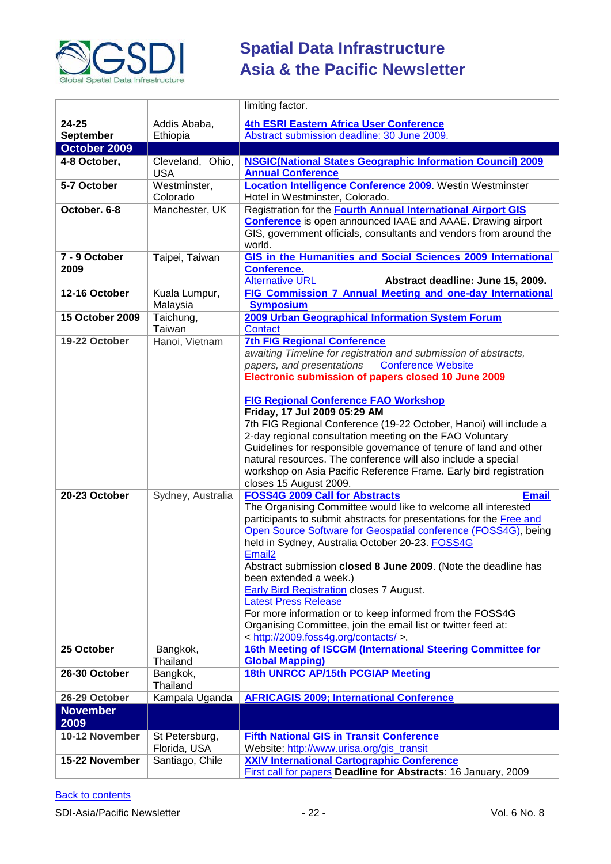

|                         |                                | limiting factor.                                                                                                                                                                                                                                                                                                                                                                                                                                                                                                                                                                                                                                                                      |
|-------------------------|--------------------------------|---------------------------------------------------------------------------------------------------------------------------------------------------------------------------------------------------------------------------------------------------------------------------------------------------------------------------------------------------------------------------------------------------------------------------------------------------------------------------------------------------------------------------------------------------------------------------------------------------------------------------------------------------------------------------------------|
| $24 - 25$               | Addis Ababa,                   | <b>4th ESRI Eastern Africa User Conference</b>                                                                                                                                                                                                                                                                                                                                                                                                                                                                                                                                                                                                                                        |
| September               | Ethiopia                       | Abstract submission deadline: 30 June 2009.                                                                                                                                                                                                                                                                                                                                                                                                                                                                                                                                                                                                                                           |
| October 2009            |                                |                                                                                                                                                                                                                                                                                                                                                                                                                                                                                                                                                                                                                                                                                       |
| 4-8 October,            | Cleveland, Ohio,<br><b>USA</b> | <b>NSGIC(National States Geographic Information Council) 2009</b><br><b>Annual Conference</b>                                                                                                                                                                                                                                                                                                                                                                                                                                                                                                                                                                                         |
| 5-7 October             | Westminster,<br>Colorado       | <b>Location Intelligence Conference 2009.</b> Westin Westminster<br>Hotel in Westminster, Colorado.                                                                                                                                                                                                                                                                                                                                                                                                                                                                                                                                                                                   |
| October, 6-8            | Manchester, UK                 | Registration for the Fourth Annual International Airport GIS<br><b>Conference</b> is open announced IAAE and AAAE. Drawing airport<br>GIS, government officials, consultants and vendors from around the<br>world.                                                                                                                                                                                                                                                                                                                                                                                                                                                                    |
| 7 - 9 October<br>2009   | Taipei, Taiwan                 | GIS in the Humanities and Social Sciences 2009 International<br><b>Conference.</b><br><b>Alternative URL</b><br>Abstract deadline: June 15, 2009.                                                                                                                                                                                                                                                                                                                                                                                                                                                                                                                                     |
| 12-16 October           | Kuala Lumpur,<br>Malaysia      | FIG Commission 7 Annual Meeting and one-day International<br><b>Symposium</b>                                                                                                                                                                                                                                                                                                                                                                                                                                                                                                                                                                                                         |
| 15 October 2009         | Taichung,<br>Taiwan            | 2009 Urban Geographical Information System Forum<br>Contact                                                                                                                                                                                                                                                                                                                                                                                                                                                                                                                                                                                                                           |
| 19-22 October           | Hanoi, Vietnam                 | <b>7th FIG Regional Conference</b><br>awaiting Timeline for registration and submission of abstracts,<br>papers, and presentations<br><b>Conference Website</b><br>Electronic submission of papers closed 10 June 2009                                                                                                                                                                                                                                                                                                                                                                                                                                                                |
|                         |                                | <b>FIG Regional Conference FAO Workshop</b><br>Friday, 17 Jul 2009 05:29 AM<br>7th FIG Regional Conference (19-22 October, Hanoi) will include a<br>2-day regional consultation meeting on the FAO Voluntary<br>Guidelines for responsible governance of tenure of land and other<br>natural resources. The conference will also include a special<br>workshop on Asia Pacific Reference Frame. Early bird registration<br>closes 15 August 2009.                                                                                                                                                                                                                                     |
| 20-23 October           | Sydney, Australia              | <b>FOSS4G 2009 Call for Abstracts</b><br><b>Email</b><br>The Organising Committee would like to welcome all interested<br>participants to submit abstracts for presentations for the Free and<br>Open Source Software for Geospatial conference (FOSS4G), being<br>held in Sydney, Australia October 20-23. FOSS4G<br>Email <sub>2</sub><br>Abstract submission closed 8 June 2009. (Note the deadline has<br>been extended a week.)<br>Early Bird Registration closes 7 August.<br><b>Latest Press Release</b><br>For more information or to keep informed from the FOSS4G<br>Organising Committee, join the email list or twitter feed at:<br>< http://2009.foss4g.org/contacts/ >. |
| 25 October              | Bangkok,<br>Thailand           | 16th Meeting of ISCGM (International Steering Committee for<br><b>Global Mapping)</b>                                                                                                                                                                                                                                                                                                                                                                                                                                                                                                                                                                                                 |
| 26-30 October           | Bangkok,<br>Thailand           | 18th UNRCC AP/15th PCGIAP Meeting                                                                                                                                                                                                                                                                                                                                                                                                                                                                                                                                                                                                                                                     |
| 26-29 October           | Kampala Uganda                 | <b>AFRICAGIS 2009; International Conference</b>                                                                                                                                                                                                                                                                                                                                                                                                                                                                                                                                                                                                                                       |
| <b>November</b><br>2009 |                                |                                                                                                                                                                                                                                                                                                                                                                                                                                                                                                                                                                                                                                                                                       |
| 10-12 November          | St Petersburg,<br>Florida, USA | <b>Fifth National GIS in Transit Conference</b><br>Website: http://www.urisa.org/gis_transit                                                                                                                                                                                                                                                                                                                                                                                                                                                                                                                                                                                          |
| 15-22 November          | Santiago, Chile                | <b>XXIV International Cartographic Conference</b><br>First call for papers Deadline for Abstracts: 16 January, 2009                                                                                                                                                                                                                                                                                                                                                                                                                                                                                                                                                                   |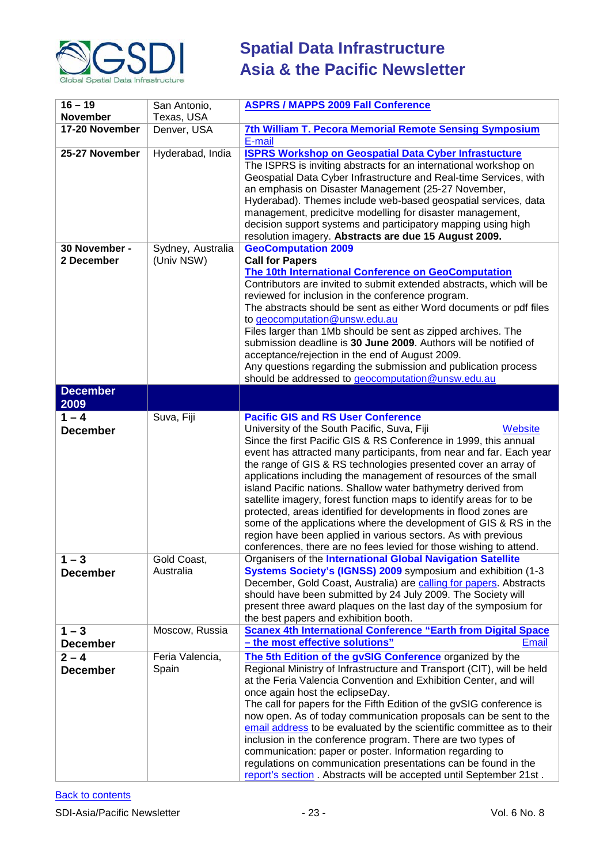

| $16 - 19$       | San Antonio,      | <b>ASPRS / MAPPS 2009 Fall Conference</b>                                                                                                |
|-----------------|-------------------|------------------------------------------------------------------------------------------------------------------------------------------|
| <b>November</b> | Texas, USA        |                                                                                                                                          |
| 17-20 November  | Denver, USA       | 7th William T. Pecora Memorial Remote Sensing Symposium                                                                                  |
|                 |                   | E-mail                                                                                                                                   |
| 25-27 November  | Hyderabad, India  | <b>ISPRS Workshop on Geospatial Data Cyber Infrastucture</b>                                                                             |
|                 |                   | The ISPRS is inviting abstracts for an international workshop on                                                                         |
|                 |                   | Geospatial Data Cyber Infrastructure and Real-time Services, with                                                                        |
|                 |                   | an emphasis on Disaster Management (25-27 November,<br>Hyderabad). Themes include web-based geospatial services, data                    |
|                 |                   | management, predicitve modelling for disaster management,                                                                                |
|                 |                   | decision support systems and participatory mapping using high                                                                            |
|                 |                   | resolution imagery. Abstracts are due 15 August 2009.                                                                                    |
| 30 November -   | Sydney, Australia | <b>GeoComputation 2009</b>                                                                                                               |
| 2 December      | (Univ NSW)        | <b>Call for Papers</b>                                                                                                                   |
|                 |                   | The 10th International Conference on GeoComputation                                                                                      |
|                 |                   | Contributors are invited to submit extended abstracts, which will be                                                                     |
|                 |                   | reviewed for inclusion in the conference program.<br>The abstracts should be sent as either Word documents or pdf files                  |
|                 |                   | to geocomputation@unsw.edu.au                                                                                                            |
|                 |                   | Files larger than 1Mb should be sent as zipped archives. The                                                                             |
|                 |                   | submission deadline is 30 June 2009. Authors will be notified of                                                                         |
|                 |                   | acceptance/rejection in the end of August 2009.                                                                                          |
|                 |                   | Any questions regarding the submission and publication process                                                                           |
|                 |                   | should be addressed to geocomputation@unsw.edu.au                                                                                        |
| <b>December</b> |                   |                                                                                                                                          |
| 2009<br>$1 - 4$ | Suva, Fiji        | <b>Pacific GIS and RS User Conference</b>                                                                                                |
| <b>December</b> |                   | University of the South Pacific, Suva, Fiji<br>Website                                                                                   |
|                 |                   | Since the first Pacific GIS & RS Conference in 1999, this annual                                                                         |
|                 |                   | event has attracted many participants, from near and far. Each year                                                                      |
|                 |                   | the range of GIS & RS technologies presented cover an array of                                                                           |
|                 |                   | applications including the management of resources of the small                                                                          |
|                 |                   | island Pacific nations. Shallow water bathymetry derived from<br>satellite imagery, forest function maps to identify areas for to be     |
|                 |                   | protected, areas identified for developments in flood zones are                                                                          |
|                 |                   | some of the applications where the development of GIS & RS in the                                                                        |
|                 |                   | region have been applied in various sectors. As with previous                                                                            |
|                 |                   | conferences, there are no fees levied for those wishing to attend.                                                                       |
| $1 - 3$         | Gold Coast,       | Organisers of the International Global Navigation Satellite                                                                              |
| <b>December</b> | Australia         | Systems Society's (IGNSS) 2009 symposium and exhibition (1-3                                                                             |
|                 |                   | December, Gold Coast, Australia) are calling for papers. Abstracts                                                                       |
|                 |                   | should have been submitted by 24 July 2009. The Society will<br>present three award plaques on the last day of the symposium for         |
|                 |                   | the best papers and exhibition booth.                                                                                                    |
| $1 - 3$         | Moscow, Russia    | <b>Scanex 4th International Conference "Earth from Digital Space</b>                                                                     |
| <b>December</b> |                   | - the most effective solutions"<br><b>Email</b>                                                                                          |
| $2 - 4$         | Feria Valencia,   | The 5th Edition of the gvSIG Conference organized by the                                                                                 |
| <b>December</b> | Spain             | Regional Ministry of Infrastructure and Transport (CIT), will be held                                                                    |
|                 |                   | at the Feria Valencia Convention and Exhibition Center, and will                                                                         |
|                 |                   | once again host the eclipseDay.                                                                                                          |
|                 |                   | The call for papers for the Fifth Edition of the gvSIG conference is<br>now open. As of today communication proposals can be sent to the |
|                 |                   | email address to be evaluated by the scientific committee as to their                                                                    |
|                 |                   | inclusion in the conference program. There are two types of                                                                              |
|                 |                   | communication: paper or poster. Information regarding to                                                                                 |
|                 |                   |                                                                                                                                          |
|                 |                   | regulations on communication presentations can be found in the                                                                           |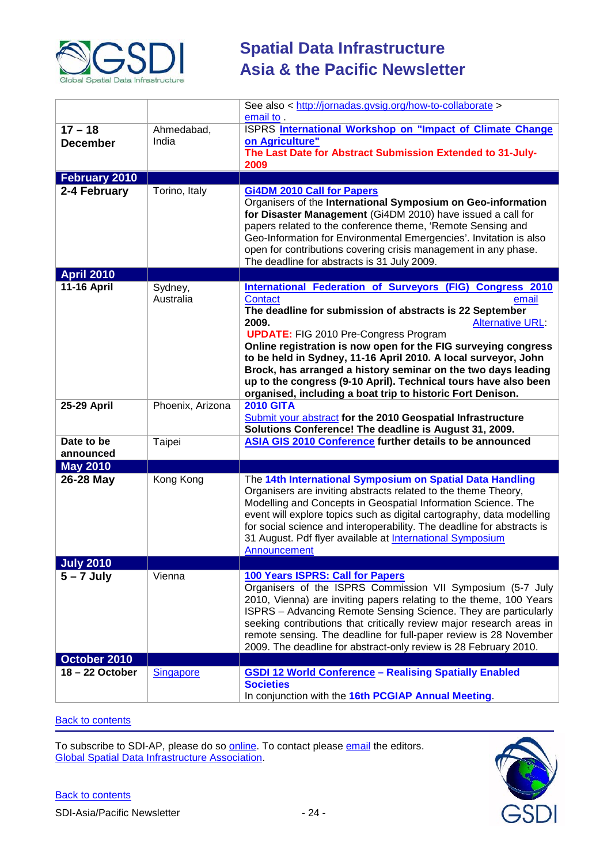

|                         |                      | See also < http://jornadas.gvsig.org/how-to-collaborate ><br>email to.                                                                                                                                                                                                                                                                                                                                                                                                                                                                                                    |
|-------------------------|----------------------|---------------------------------------------------------------------------------------------------------------------------------------------------------------------------------------------------------------------------------------------------------------------------------------------------------------------------------------------------------------------------------------------------------------------------------------------------------------------------------------------------------------------------------------------------------------------------|
| $17 - 18$               | Ahmedabad,           | ISPRS International Workshop on "Impact of Climate Change                                                                                                                                                                                                                                                                                                                                                                                                                                                                                                                 |
| <b>December</b>         | India                | on Agriculture"<br>The Last Date for Abstract Submission Extended to 31-July-<br>2009                                                                                                                                                                                                                                                                                                                                                                                                                                                                                     |
| <b>February 2010</b>    |                      |                                                                                                                                                                                                                                                                                                                                                                                                                                                                                                                                                                           |
| 2-4 February            | Torino, Italy        | <b>Gi4DM 2010 Call for Papers</b><br>Organisers of the International Symposium on Geo-information<br>for Disaster Management (Gi4DM 2010) have issued a call for<br>papers related to the conference theme, 'Remote Sensing and<br>Geo-Information for Environmental Emergencies'. Invitation is also<br>open for contributions covering crisis management in any phase.<br>The deadline for abstracts is 31 July 2009.                                                                                                                                                   |
| <b>April 2010</b>       |                      |                                                                                                                                                                                                                                                                                                                                                                                                                                                                                                                                                                           |
| <b>11-16 April</b>      | Sydney,<br>Australia | International Federation of Surveyors (FIG) Congress 2010<br><b>Contact</b><br>email<br>The deadline for submission of abstracts is 22 September<br>2009.<br><b>Alternative URL</b><br><b>UPDATE:</b> FIG 2010 Pre-Congress Program<br>Online registration is now open for the FIG surveying congress<br>to be held in Sydney, 11-16 April 2010. A local surveyor, John<br>Brock, has arranged a history seminar on the two days leading<br>up to the congress (9-10 April). Technical tours have also been<br>organised, including a boat trip to historic Fort Denison. |
| 25-29 April             | Phoenix, Arizona     | <b>2010 GITA</b><br>Submit your abstract for the 2010 Geospatial Infrastructure<br>Solutions Conference! The deadline is August 31, 2009.                                                                                                                                                                                                                                                                                                                                                                                                                                 |
| Date to be<br>announced | Taipei               | ASIA GIS 2010 Conference further details to be announced                                                                                                                                                                                                                                                                                                                                                                                                                                                                                                                  |
| <b>May 2010</b>         |                      |                                                                                                                                                                                                                                                                                                                                                                                                                                                                                                                                                                           |
| 26-28 May               | Kong Kong            | The 14th International Symposium on Spatial Data Handling<br>Organisers are inviting abstracts related to the theme Theory,<br>Modelling and Concepts in Geospatial Information Science. The<br>event will explore topics such as digital cartography, data modelling<br>for social science and interoperability. The deadline for abstracts is<br>31 August. Pdf flyer available at International Symposium<br>Announcement                                                                                                                                              |
| <b>July 2010</b>        |                      |                                                                                                                                                                                                                                                                                                                                                                                                                                                                                                                                                                           |
| $5 - 7$ July            | Vienna               | 100 Years ISPRS: Call for Papers<br>Organisers of the ISPRS Commission VII Symposium (5-7 July<br>2010, Vienna) are inviting papers relating to the theme, 100 Years<br>ISPRS - Advancing Remote Sensing Science. They are particularly<br>seeking contributions that critically review major research areas in<br>remote sensing. The deadline for full-paper review is 28 November<br>2009. The deadline for abstract-only review is 28 February 2010.                                                                                                                  |
| October 2010            |                      |                                                                                                                                                                                                                                                                                                                                                                                                                                                                                                                                                                           |
| 18-22 October           | <b>Singapore</b>     | <b>GSDI 12 World Conference - Realising Spatially Enabled</b><br><b>Societies</b><br>In conjunction with the 16th PCGIAP Annual Meeting.                                                                                                                                                                                                                                                                                                                                                                                                                                  |

### **[Back to contents](#page-0-0)**

To subscribe to SDI-AP, please do so <u>online</u>. To contact please <u>email</u> the editors. [Global Spatial Data Infrastructure Association.](http://www.gsdi.org/)